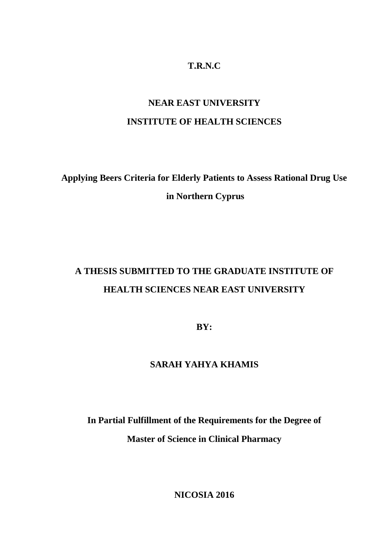## **T.R.N.C**

# **NEAR EAST UNIVERSITY INSTITUTE OF HEALTH SCIENCES**

# **Applying Beers Criteria for Elderly Patients to Assess Rational Drug Use in Northern Cyprus**

# **A THESIS SUBMITTED TO THE GRADUATE INSTITUTE OF HEALTH SCIENCES NEAR EAST UNIVERSITY**

**BY:**

## **SARAH YAHYA KHAMIS**

**In Partial Fulfillment of the Requirements for the Degree of Master of Science in Clinical Pharmacy**

**NICOSIA 2016**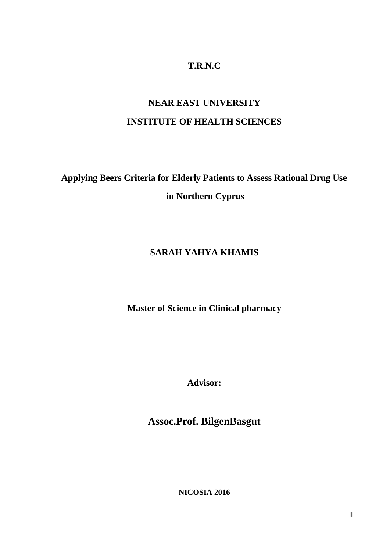## **T.R.N.C**

# **NEAR EAST UNIVERSITY INSTITUTE OF HEALTH SCIENCES**

# **Applying Beers Criteria for Elderly Patients to Assess Rational Drug Use in Northern Cyprus**

## **SARAH YAHYA KHAMIS**

**Master of Science in Clinical pharmacy**

**Advisor:**

**Assoc.Prof. BilgenBasgut**

**NICOSIA 2016**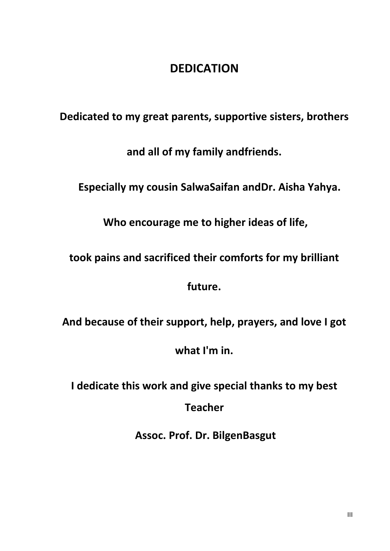# **DEDICATION**

**Dedicated to my great parents, supportive sisters, brothers**

**and all of my family andfriends.**

**Especially my cousin SalwaSaifan andDr. Aisha Yahya.**

**Who encourage me to higher ideas of life,**

**took pains and sacrificed their comforts for my brilliant**

**future.**

**And because of their support, help, prayers, and love I got**

**what I'm in.**

**I dedicate this work and give special thanks to my best Teacher**

**Assoc. Prof. Dr. BilgenBasgut**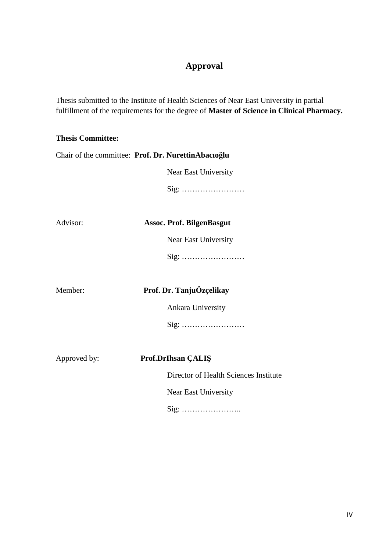# **Approval**

Thesis submitted to the Institute of Health Sciences of Near East University in partial fulfillment of the requirements for the degree of **Master of Science in Clinical Pharmacy.**

### **Thesis Committee:**

| Chair of the committee: Prof. Dr. NurettinAbacıo lu |                                       |
|-----------------------------------------------------|---------------------------------------|
|                                                     | Near East University                  |
|                                                     | Sig:                                  |
|                                                     |                                       |
| Advisor:                                            | <b>Assoc. Prof. BilgenBasgut</b>      |
|                                                     | Near East University                  |
|                                                     | Sig:                                  |
|                                                     |                                       |
| Member:                                             | Prof. Dr. TanjuÖzçelikay              |
|                                                     | Ankara University                     |
|                                                     |                                       |
|                                                     |                                       |
| Approved by:                                        | Prof.DrIhsan ÇALI                     |
|                                                     | Director of Health Sciences Institute |
|                                                     | Near East University                  |
|                                                     |                                       |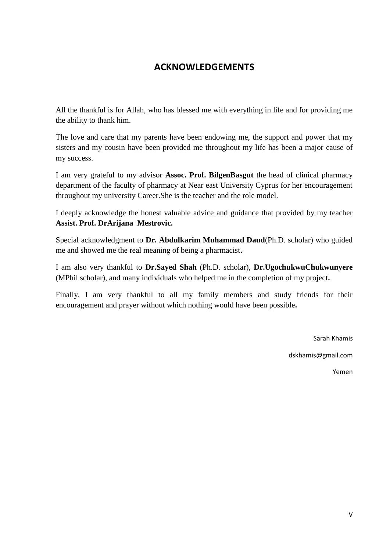# **ACKNOWLEDGEMENTS**

All the thankful is for Allah, who has blessed me with everything in life and for providing me the ability to thank him.

The love and care that my parents have been endowing me, the support and power that my sisters and my cousin have been provided me throughout my life has been a major cause of my success.

I am very grateful to my advisor **Assoc. Prof. BilgenBasgut** the head of clinical pharmacy department of the faculty of pharmacy at Near east University Cyprus for her encouragement throughout my university Career.She is the teacher and the role model.

I deeply acknowledge the honest valuable advice and guidance that provided by my teacher **Assist. Prof. DrArijana Mestrovic.**

Special acknowledgment to **Dr. Abdulkarim Muhammad Daud**(Ph.D. scholar) who guided me and showed me the real meaning of being a pharmacist**.**

I am also very thankful to **Dr.Sayed Shah** (Ph.D. scholar), **Dr.UgochukwuChukwunyere** (MPhil scholar), and many individuals who helped me in the completion of my project**.**

Finally, I am very thankful to all my family members and study friends for their encouragement and prayer without which nothing would have been possible**.**

Sarah Khamis

dskhamis@gmail.com

Yemen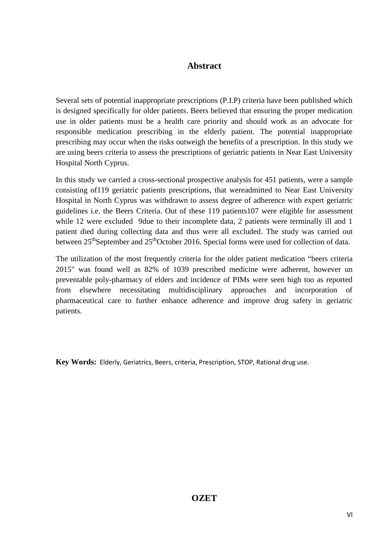## **Abstract**

Several sets of potential inappropriate prescriptions (P.I.P) criteria have been published which is designed specifically for older patients. Beers believed that ensuring the proper medication use in older patients must be a health care priority and should work as an advocate for responsible medication prescribing in the elderly patient. The potential inappropriate prescribing may occur when the risks outweigh the benefits of a prescription. In this study we are using beers criteria to assess the prescriptions of geriatric patients in Near East University Hospital North Cyprus.

In this study we carried a cross-sectional prospective analysis for 451 patients, were a sample consisting of119 geriatric patients prescriptions, that wereadmitted to Near East University Hospital in North Cyprus was withdrawn to assess degree of adherence with expert geriatric guidelines i.e. the Beers Criteria. Out of these 119 patients107 were eligible for assessment while 12 were excluded 9due to their incomplete data, 2 patients were terminally ill and 1 patient died during collecting data and thus were all excluded. The study was carried out between 25<sup>th</sup>September and 25<sup>th</sup>October 2016. Special forms were used for collection of data.

The utilization of the most frequently criteria for the older patient medication "beers criteria" 2015" was found well as 82% of 1039 prescribed medicine were adherent, however un preventable poly-pharmacy of elders and incidence of PIMs were seen high too as reported from elsewhere necessitating multidisciplinary approaches and incorporation of pharmaceutical care to further enhance adherence and improve drug safety in geriatric patients.

**Key Words:** Elderly, Geriatrics, Beers, criteria, Prescription, STOP, Rational drug use.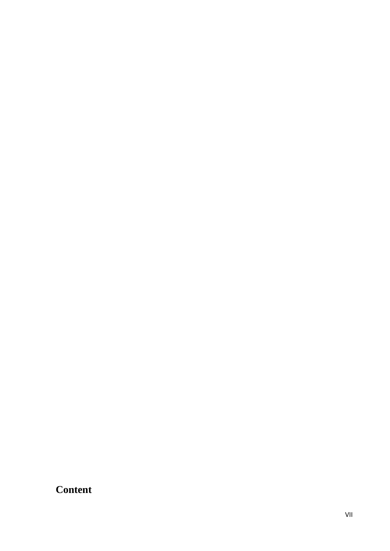# **Content**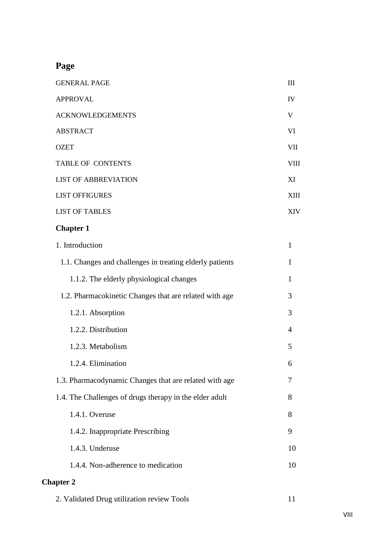# **Page**

| <b>GENERAL PAGE</b>         | III          |
|-----------------------------|--------------|
| <b>APPROVAL</b>             | IV           |
| <b>ACKNOWLEDGEMENTS</b>     | $\mathbf{V}$ |
| <b>ABSTRACT</b>             | VI           |
| <b>OZET</b>                 | <b>VII</b>   |
| <b>TABLE OF CONTENTS</b>    | <b>VIII</b>  |
| <b>LIST OF ABBREVIATION</b> | XI           |
| <b>LIST OFFIGURES</b>       | <b>XIII</b>  |
| <b>LIST OF TABLES</b>       | <b>XIV</b>   |

# **Chapter 1**

| 1. Introduction                                          | $\mathbf{1}$   |
|----------------------------------------------------------|----------------|
| 1.1. Changes and challenges in treating elderly patients | $\mathbf{1}$   |
| 1.1.2. The elderly physiological changes                 | 1              |
| 1.2. Pharmacokinetic Changes that are related with age   | 3              |
| 1.2.1. Absorption                                        | 3              |
| 1.2.2. Distribution                                      | $\overline{4}$ |
| 1.2.3. Metabolism                                        | 5              |
| 1.2.4. Elimination                                       | 6              |
| 1.3. Pharmacodynamic Changes that are related with age   | 7              |
| 1.4. The Challenges of drugs therapy in the elder adult  | 8              |
| 1.4.1. Overuse                                           | 8              |
| 1.4.2. Inappropriate Prescribing                         | 9              |
| 1.4.3. Underuse                                          | 10             |
| 1.4.4. Non-adherence to medication                       | 10             |
| <b>Chapter 2</b>                                         |                |

| 2. Validated Drug utilization review Tools |
|--------------------------------------------|
|--------------------------------------------|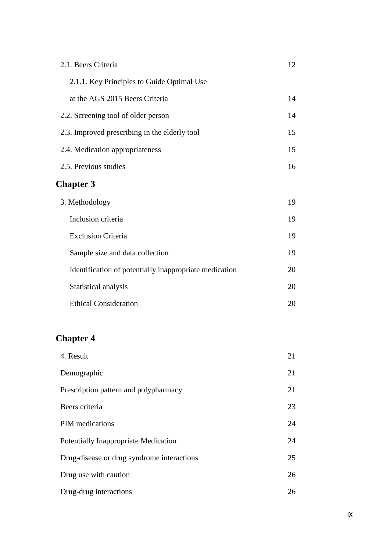| 2.1. Beers Criteria                                    | 12 |
|--------------------------------------------------------|----|
| 2.1.1. Key Principles to Guide Optimal Use             |    |
| at the AGS 2015 Beers Criteria                         | 14 |
| 2.2. Screening tool of older person                    | 14 |
| 2.3. Improved prescribing in the elderly tool          | 15 |
| 2.4. Medication appropriateness                        | 15 |
| 2.5. Previous studies                                  | 16 |
| <b>Chapter 3</b>                                       |    |
| 3. Methodology                                         | 19 |
| Inclusion criteria                                     | 19 |
| <b>Exclusion Criteria</b>                              | 19 |
| Sample size and data collection                        | 19 |
| Identification of potentially inappropriate medication | 20 |
| Statistical analysis                                   | 20 |
| <b>Ethical Consideration</b>                           | 20 |
|                                                        |    |

# **Chapter 4**

| 4. Result                                  | 21 |
|--------------------------------------------|----|
| Demographic                                | 21 |
| Prescription pattern and polypharmacy      | 21 |
| Beers criteria                             | 23 |
| <b>PIM</b> medications                     | 24 |
| Potentially Inappropriate Medication       | 24 |
| Drug-disease or drug syndrome interactions | 25 |
| Drug use with caution                      | 26 |
| Drug-drug interactions                     | 26 |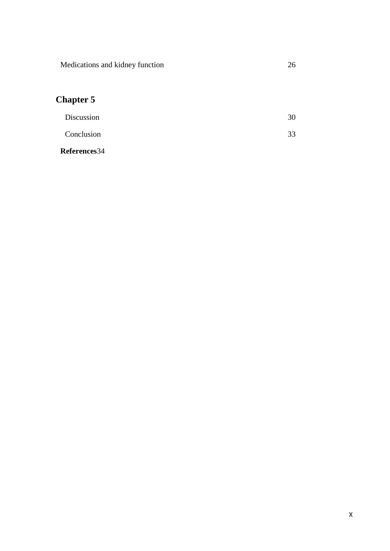Medications and kidney function 26

# **Chapter 5**

| Discussion | 30 |
|------------|----|
| Conclusion | 33 |

**References**34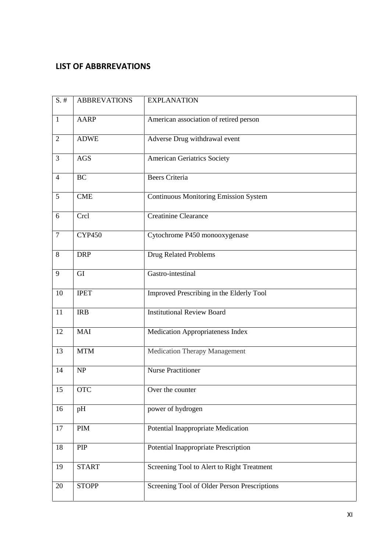## **LIST OF ABBRREVATIONS**

| $S.$ #         | <b>ABBREVATIONS</b> | <b>EXPLANATION</b>                           |
|----------------|---------------------|----------------------------------------------|
| $\mathbf{1}$   | <b>AARP</b>         | American association of retired person       |
| $\overline{2}$ | <b>ADWE</b>         | Adverse Drug withdrawal event                |
| 3              | <b>AGS</b>          | <b>American Geriatrics Society</b>           |
| $\overline{4}$ | <b>BC</b>           | <b>Beers Criteria</b>                        |
| 5              | CME                 | <b>Continuous Monitoring Emission System</b> |
| 6              | Crcl                | <b>Creatinine Clearance</b>                  |
| $\overline{7}$ | <b>CYP450</b>       | Cytochrome P450 monooxygenase                |
| 8              | <b>DRP</b>          | Drug Related Problems                        |
| 9              | GI                  | Gastro-intestinal                            |
| 10             | <b>IPET</b>         | Improved Prescribing in the Elderly Tool     |
| 11             | <b>IRB</b>          | <b>Institutional Review Board</b>            |
| 12             | <b>MAI</b>          | Medication Appropriateness Index             |
| 13             | <b>MTM</b>          | <b>Medication Therapy Management</b>         |
| 14             | NP                  | <b>Nurse Practitioner</b>                    |
| 15             | <b>OTC</b>          | Over the counter                             |
| 16             | pH                  | power of hydrogen                            |
| 17             | <b>PIM</b>          | Potential Inappropriate Medication           |
| 18             | PIP                 | Potential Inappropriate Prescription         |
| 19             | <b>START</b>        | Screening Tool to Alert to Right Treatment   |
| 20             | <b>STOPP</b>        | Screening Tool of Older Person Prescriptions |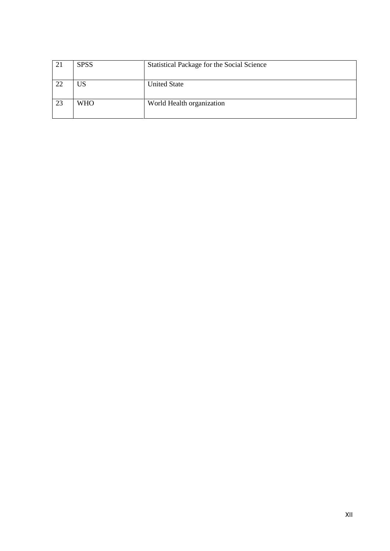| 21 | <b>SPSS</b> | <b>Statistical Package for the Social Science</b> |
|----|-------------|---------------------------------------------------|
| 22 | US          | <b>United State</b>                               |
| 23 | <b>WHO</b>  | World Health organization                         |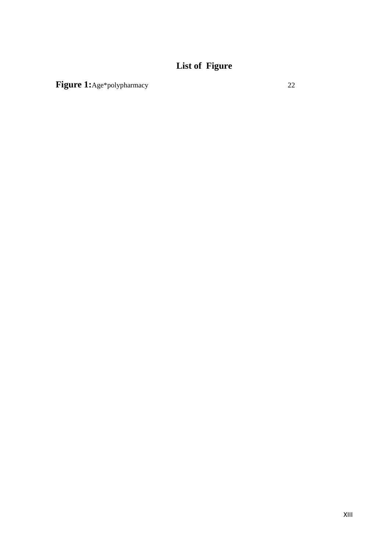# **List of Figure**

Figure 1:Age\*polypharmacy 22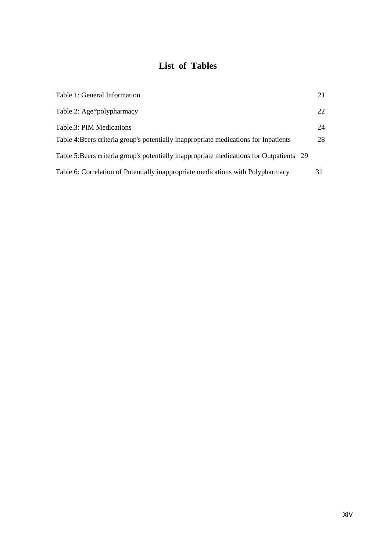# **List of Tables**

| Table 1: General Information                                                            | 21 |
|-----------------------------------------------------------------------------------------|----|
| Table 2: Age*polypharmacy                                                               | 22 |
| Table.3: PIM Medications                                                                | 24 |
| Table 4: Beers criteria group's potentially inappropriate medications for Inpatients    | 28 |
| Table 5:Beers criteria group's potentially inappropriate medications for Outpatients 29 |    |
| Table 6: Correlation of Potentially inappropriate medications with Polypharmacy         | 31 |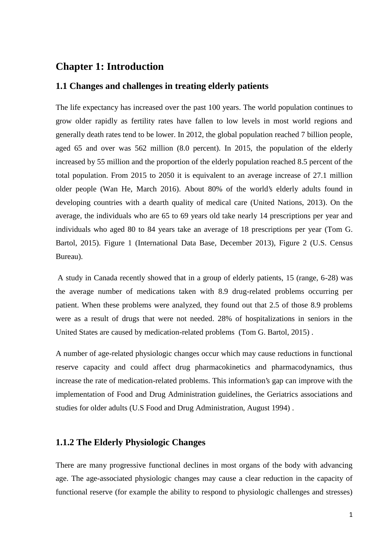## **Chapter 1: Introduction**

### **1.1 Changes and challenges in treating elderly patients**

The life expectancy has increased over the past 100 years. The world population continues to grow older rapidly as fertility rates have fallen to low levels in most world regions and generally death rates tend to be lower. In 2012, the global population reached 7 billion people, aged 65 and over was 562 million (8.0 percent). In 2015, the population of the elderly increased by 55 million and the proportion of the elderly population reached 8.5 percent of the total population. From 2015 to 2050 it is equivalent to an average increase of 27.1 million older people (Wan He, March 2016). About 80% of the world's elderly adults found in developing countries with a dearth quality of medical care (United Nations, 2013). On the average, the individuals who are 65 to 69 years old take nearly 14 prescriptions per year and individuals who aged 80 to 84 years take an average of 18 prescriptions per year (Tom G. Bartol, 2015). Figure 1 (International Data Base, December 2013), Figure 2 (U.S. Census Bureau).

A study in Canada recently showed that in a group of elderly patients, 15 (range, 6-28) was the average number of medications taken with 8.9 drug-related problems occurring per patient. When these problems were analyzed, they found out that 2.5 of those 8.9 problems were as a result of drugs that were not needed. 28% of hospitalizations in seniors in the United States are caused by medication-related problems (Tom G. Bartol, 2015) .

A number of age-related physiologic changes occur which may cause reductions in functional reserve capacity and could affect drug pharmacokinetics and pharmacodynamics, thus increase the rate of medication-related problems. This information's gap can improve with the implementation of Food and Drug Administration guidelines, the Geriatrics associations and studies for older adults (U.S Food and Drug Administration, August 1994) .

### **1.1.2 The Elderly Physiologic Changes**

There are many progressive functional declines in most organs of the body with advancing age. The age-associated physiologic changes may cause a clear reduction in the capacity of functional reserve (for example the ability to respond to physiologic challenges and stresses)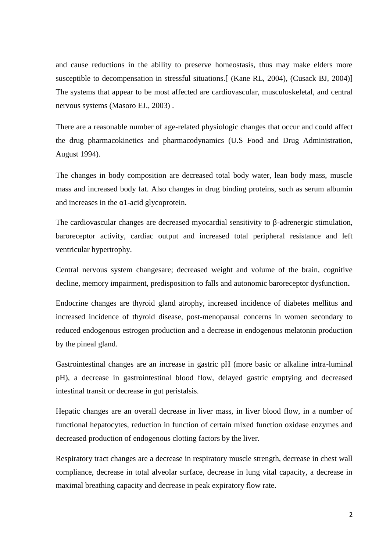and cause reductions in the ability to preserve homeostasis, thus may make elders more susceptible to decompensation in stressful situations. [ (Kane RL, 2004), (Cusack BJ, 2004)] The systems that appear to be most affected are cardiovascular, musculoskeletal, and central nervous systems (Masoro EJ., 2003) .

There are a reasonable number of age-related physiologic changes that occur and could affect the drug pharmacokinetics and pharmacodynamics (U.S Food and Drug Administration, August 1994).

The changes in body composition are decreased total body water, lean body mass, muscle mass and increased body fat. Also changes in drug binding proteins, such as serum albumin and increases in the 1-acid glycoprotein.

The cardiovascular changes are decreased myocardial sensitivity to -adrenergic stimulation, baroreceptor activity, cardiac output and increased total peripheral resistance and left ventricular hypertrophy.

Central nervous system changesare; decreased weight and volume of the brain, cognitive decline, memory impairment, predisposition to falls and autonomic baroreceptor dysfunction**.**

Endocrine changes are thyroid gland atrophy, increased incidence of diabetes mellitus and increased incidence of thyroid disease, post-menopausal concerns in women secondary to reduced endogenous estrogen production and a decrease in endogenous melatonin production by the pineal gland.

Gastrointestinal changes are an increase in gastric pH (more basic or alkaline intra-luminal pH), a decrease in gastrointestinal blood flow, delayed gastric emptying and decreased intestinal transit or decrease in gut peristalsis.

Hepatic changes are an overall decrease in liver mass, in liver blood flow, in a number of functional hepatocytes, reduction in function of certain mixed function oxidase enzymes and decreased production of endogenous clotting factors by the liver.

Respiratory tract changes are a decrease in respiratory muscle strength, decrease in chest wall compliance, decrease in total alveolar surface, decrease in lung vital capacity, a decrease in maximal breathing capacity and decrease in peak expiratory flow rate.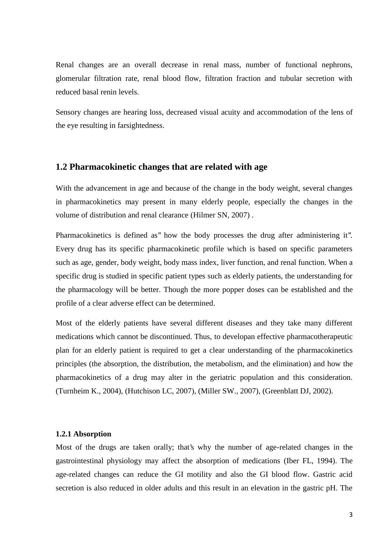Renal changes are an overall decrease in renal mass, number of functional nephrons, glomerular filtration rate, renal blood flow, filtration fraction and tubular secretion with reduced basal renin levels.

Sensory changes are hearing loss, decreased visual acuity and accommodation of the lens of the eye resulting in farsightedness.

### **1.2 Pharmacokinetic changes that are related with age**

With the advancement in age and because of the change in the body weight, several changes in pharmacokinetics may present in many elderly people, especially the changes in the volume of distribution and renal clearance (Hilmer SN, 2007) .

Pharmacokinetics is defined as'' how the body processes the drug after administering it''. Every drug has its specific pharmacokinetic profile which is based on specific parameters such as age, gender, body weight, body mass index, liver function, and renal function. When a specific drug is studied in specific patient types such as elderly patients, the understanding for the pharmacology will be better. Though the more popper doses can be established and the profile of a clear adverse effect can be determined.

Most of the elderly patients have several different diseases and they take many different medications which cannot be discontinued. Thus, to developan effective pharmacotherapeutic plan for an elderly patient is required to get a clear understanding of the pharmacokinetics principles (the absorption, the distribution, the metabolism, and the elimination) and how the pharmacokinetics of a drug may alter in the geriatric population and this consideration. (Turnheim K., 2004), (Hutchison LC, 2007), (Miller SW., 2007), (Greenblatt DJ, 2002).

#### **1.2.1 Absorption**

Most of the drugs are taken orally; that's why the number of age-related changes in the gastrointestinal physiology may affect the absorption of medications (Iber FL, 1994). The age-related changes can reduce the GI motility and also the GI blood flow. Gastric acid secretion is also reduced in older adults and this result in an elevation in the gastric pH. The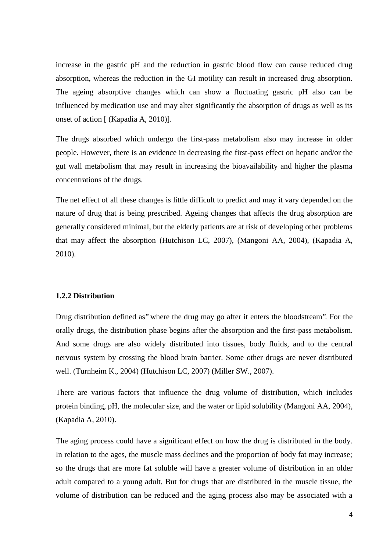increase in the gastric pH and the reduction in gastric blood flow can cause reduced drug absorption, whereas the reduction in the GI motility can result in increased drug absorption. The ageing absorptive changes which can show a fluctuating gastric pH also can be influenced by medication use and may alter significantly the absorption of drugs as well as its onset of action [ (Kapadia A, 2010)].

The drugs absorbed which undergo the first-pass metabolism also may increase in older people. However, there is an evidence in decreasing the first-pass effect on hepatic and/or the gut wall metabolism that may result in increasing the bioavailability and higher the plasma concentrations of the drugs.

The net effect of all these changes is little difficult to predict and may it vary depended on the nature of drug that is being prescribed. Ageing changes that affects the drug absorption are generally considered minimal, but the elderly patients are at risk of developing other problems that may affect the absorption (Hutchison LC, 2007), (Mangoni AA, 2004), (Kapadia A, 2010).

#### **1.2.2 Distribution**

Drug distribution defined as'' where the drug may go after it enters the bloodstream''. For the orally drugs, the distribution phase begins after the absorption and the first-pass metabolism. And some drugs are also widely distributed into tissues, body fluids, and to the central nervous system by crossing the blood brain barrier. Some other drugs are never distributed well. (Turnheim K., 2004) (Hutchison LC, 2007) (Miller SW., 2007).

There are various factors that influence the drug volume of distribution, which includes protein binding, pH, the molecular size, and the water or lipid solubility (Mangoni AA, 2004), (Kapadia A, 2010).

The aging process could have a significant effect on how the drug is distributed in the body. In relation to the ages, the muscle mass declines and the proportion of body fat may increase; so the drugs that are more fat soluble will have a greater volume of distribution in an older adult compared to a young adult. But for drugs that are distributed in the muscle tissue, the volume of distribution can be reduced and the aging process also may be associated with a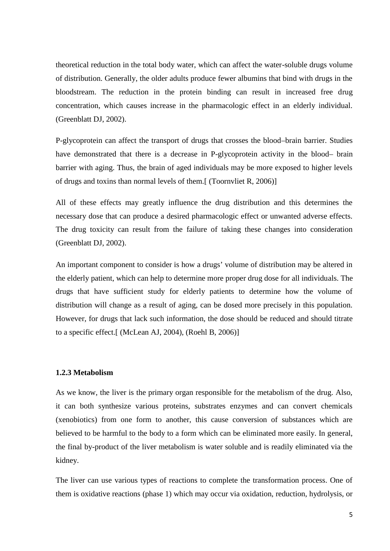theoretical reduction in the total body water, which can affect the water-soluble drugs volume of distribution. Generally, the older adults produce fewer albumins that bind with drugs in the bloodstream. The reduction in the protein binding can result in increased free drug concentration, which causes increase in the pharmacologic effect in an elderly individual. (Greenblatt DJ, 2002).

P-glycoprotein can affect the transport of drugs that crosses the blood–brain barrier. Studies have demonstrated that there is a decrease in P-glycoprotein activity in the blood– brain barrier with aging. Thus, the brain of aged individuals may be more exposed to higher levels of drugs and toxins than normal levels of them.[ (Toornvliet R, 2006)]

All of these effects may greatly influence the drug distribution and this determines the necessary dose that can produce a desired pharmacologic effect or unwanted adverse effects. The drug toxicity can result from the failure of taking these changes into consideration (Greenblatt DJ, 2002).

An important component to consider is how a drugs' volume of distribution may be altered in the elderly patient, which can help to determine more proper drug dose for all individuals. The drugs that have sufficient study for elderly patients to determine how the volume of distribution will change as a result of aging, can be dosed more precisely in this population. However, for drugs that lack such information, the dose should be reduced and should titrate to a specific effect.[ (McLean AJ, 2004), (Roehl B, 2006)]

#### **1.2.3 Metabolism**

As we know, the liver is the primary organ responsible for the metabolism of the drug. Also, it can both synthesize various proteins, substrates enzymes and can convert chemicals (xenobiotics) from one form to another, this cause conversion of substances which are believed to be harmful to the body to a form which can be eliminated more easily. In general, the final by-product of the liver metabolism is water soluble and is readily eliminated via the kidney.

The liver can use various types of reactions to complete the transformation process. One of them is oxidative reactions (phase 1) which may occur via oxidation, reduction, hydrolysis, or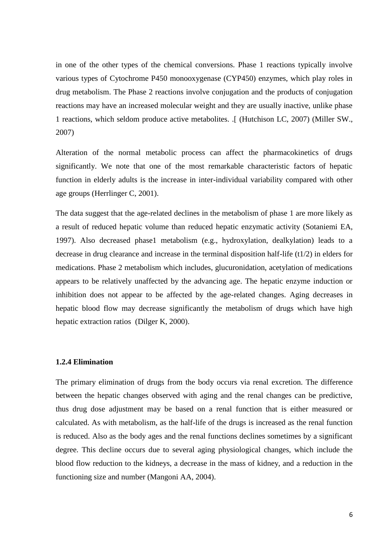in one of the other types of the chemical conversions. Phase 1 reactions typically involve various types of Cytochrome P450 monooxygenase (CYP450) enzymes, which play roles in drug metabolism. The Phase 2 reactions involve conjugation and the products of conjugation reactions may have an increased molecular weight and they are usually inactive, unlike phase 1 reactions, which seldom produce active metabolites. .[ (Hutchison LC, 2007) (Miller SW., 2007)

Alteration of the normal metabolic process can affect the pharmacokinetics of drugs significantly. We note that one of the most remarkable characteristic factors of hepatic function in elderly adults is the increase in inter-individual variability compared with other age groups (Herrlinger C, 2001).

The data suggest that the age-related declines in the metabolism of phase 1 are more likely as a result of reduced hepatic volume than reduced hepatic enzymatic activity (Sotaniemi EA, 1997). Also decreased phase1 metabolism (e.g., hydroxylation, dealkylation) leads to a decrease in drug clearance and increase in the terminal disposition half-life (t1/2) in elders for medications. Phase 2 metabolism which includes, glucuronidation, acetylation of medications appears to be relatively unaffected by the advancing age. The hepatic enzyme induction or inhibition does not appear to be affected by the age-related changes. Aging decreases in hepatic blood flow may decrease significantly the metabolism of drugs which have high hepatic extraction ratios (Dilger K, 2000).

#### **1.2.4 Elimination**

The primary elimination of drugs from the body occurs via renal excretion. The difference between the hepatic changes observed with aging and the renal changes can be predictive, thus drug dose adjustment may be based on a renal function that is either measured or calculated. As with metabolism, as the half-life of the drugs is increased as the renal function is reduced. Also as the body ages and the renal functions declines sometimes by a significant degree. This decline occurs due to several aging physiological changes, which include the blood flow reduction to the kidneys, a decrease in the mass of kidney, and a reduction in the functioning size and number (Mangoni AA, 2004).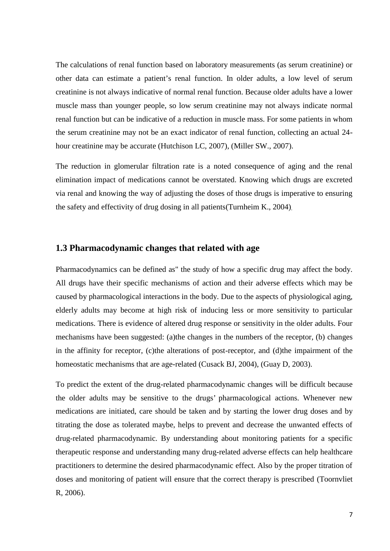The calculations of renal function based on laboratory measurements (as serum creatinine) or other data can estimate a patient's renal function. In older adults, a low level of serum creatinine is not always indicative of normal renal function. Because older adults have a lower muscle mass than younger people, so low serum creatinine may not always indicate normal renal function but can be indicative of a reduction in muscle mass. For some patients in whom the serum creatinine may not be an exact indicator of renal function, collecting an actual 24 hour creatinine may be accurate (Hutchison LC, 2007), (Miller SW., 2007).

The reduction in glomerular filtration rate is a noted consequence of aging and the renal elimination impact of medications cannot be overstated. Knowing which drugs are excreted via renal and knowing the way of adjusting the doses of those drugs is imperative to ensuring the safety and effectivity of drug dosing in all patients(Turnheim K., 2004).

### **1.3 Pharmacodynamic changes that related with age**

Pharmacodynamics can be defined as" the study of how a specific drug may affect the body. All drugs have their specific mechanisms of action and their adverse effects which may be caused by pharmacological interactions in the body. Due to the aspects of physiological aging, elderly adults may become at high risk of inducing less or more sensitivity to particular medications. There is evidence of altered drug response or sensitivity in the older adults. Four mechanisms have been suggested: (a)the changes in the numbers of the receptor, (b) changes in the affinity for receptor, (c)the alterations of post-receptor, and (d)the impairment of the homeostatic mechanisms that are age-related (Cusack BJ, 2004), (Guay D, 2003).

To predict the extent of the drug-related pharmacodynamic changes will be difficult because the older adults may be sensitive to the drugs' pharmacological actions. Whenever new medications are initiated, care should be taken and by starting the lower drug doses and by titrating the dose as tolerated maybe, helps to prevent and decrease the unwanted effects of drug-related pharmacodynamic. By understanding about monitoring patients for a specific therapeutic response and understanding many drug-related adverse effects can help healthcare practitioners to determine the desired pharmacodynamic effect. Also by the proper titration of doses and monitoring of patient will ensure that the correct therapy is prescribed (Toornvliet R, 2006).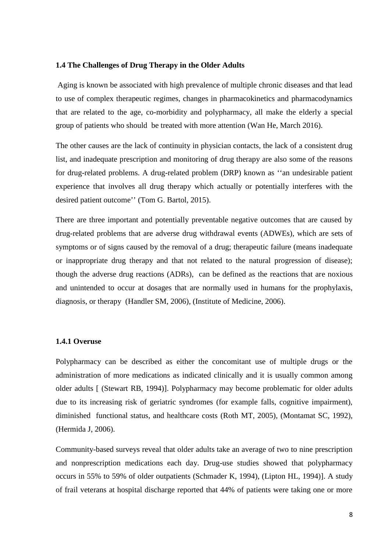#### **1.4 The Challenges of Drug Therapy in the Older Adults**

Aging is known be associated with high prevalence of multiple chronic diseases and that lead to use of complex therapeutic regimes, changes in pharmacokinetics and pharmacodynamics that are related to the age, co-morbidity and polypharmacy, all make the elderly a special group of patients who should be treated with more attention (Wan He, March 2016).

The other causes are the lack of continuity in physician contacts, the lack of a consistent drug list, and inadequate prescription and monitoring of drug therapy are also some of the reasons for drug-related problems. A drug-related problem (DRP) known as ''an undesirable patient experience that involves all drug therapy which actually or potentially interferes with the desired patient outcome'' (Tom G. Bartol, 2015).

There are three important and potentially preventable negative outcomes that are caused by drug-related problems that are adverse drug withdrawal events (ADWEs), which are sets of symptoms or of signs caused by the removal of a drug; therapeutic failure (means inadequate or inappropriate drug therapy and that not related to the natural progression of disease); though the adverse drug reactions (ADRs), can be defined as the reactions that are noxious and unintended to occur at dosages that are normally used in humans for the prophylaxis, diagnosis, or therapy (Handler SM, 2006), (Institute of Medicine, 2006).

#### **1.4.1 Overuse**

Polypharmacy can be described as either the concomitant use of multiple drugs or the administration of more medications as indicated clinically and it is usually common among older adults [ (Stewart RB, 1994)]. Polypharmacy may become problematic for older adults due to its increasing risk of geriatric syndromes (for example falls, cognitive impairment), diminished functional status, and healthcare costs (Roth MT, 2005), (Montamat SC, 1992), (Hermida J, 2006).

Community-based surveys reveal that older adults take an average of two to nine prescription and nonprescription medications each day. Drug-use studies showed that polypharmacy occurs in 55% to 59% of older outpatients (Schmader K, 1994), (Lipton HL, 1994)]. A study of frail veterans at hospital discharge reported that 44% of patients were taking one or more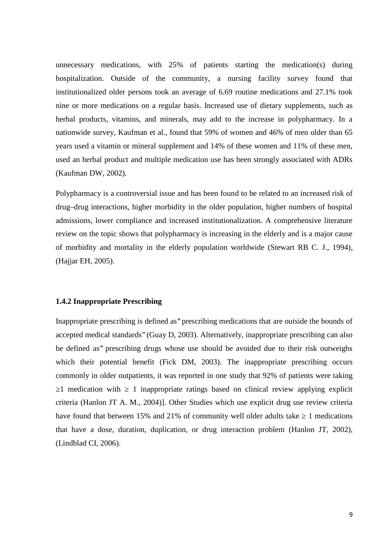unnecessary medications, with 25% of patients starting the medication(s) during hospitalization. Outside of the community, a nursing facility survey found that institutionalized older persons took an average of 6.69 routine medications and 27.1% took nine or more medications on a regular basis. Increased use of dietary supplements, such as herbal products, vitamins, and minerals, may add to the increase in polypharmacy. In a nationwide survey, Kaufman et al., found that 59% of women and 46% of men older than 65 years used a vitamin or mineral supplement and 14% of these women and 11% of these men, used an herbal product and multiple medication use has been strongly associated with ADRs (Kaufman DW, 2002).

Polypharmacy is a controversial issue and has been found to be related to an increased risk of drug–drug interactions, higher morbidity in the older population, higher numbers of hospital admissions, lower compliance and increased institutionalization. A comprehensive literature review on the topic shows that polypharmacy is increasing in the elderly and is a major cause of morbidity and mortality in the elderly population worldwide (Stewart RB C. J., 1994), (Hajjar EH, 2005).

#### **1.4.2 Inappropriate Prescribing**

Inappropriate prescribing is defined as'' prescribing medications that are outside the bounds of accepted medical standards'' (Guay D, 2003). Alternatively, inappropriate prescribing can also be defined as'' prescribing drugs whose use should be avoided due to their risk outweighs which their potential benefit (Fick DM, 2003). The inappropriate prescribing occurs commonly in older outpatients, it was reported in one study that 92% of patients were taking ≥1 medication with ≥ 1 inappropriate ratings based on clinical review applying explicit criteria (Hanlon JT A. M., 2004)]. Other Studies which use explicit drug use review criteria have found that between 15% and 21% of community well older adults take 1 medications that have a dose, duration, duplication, or drug interaction problem (Hanlon JT, 2002), (Lindblad CI, 2006).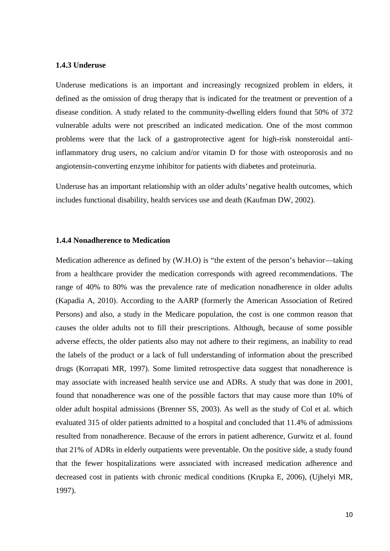#### **1.4.3 Underuse**

Underuse medications is an important and increasingly recognized problem in elders, it defined as the omission of drug therapy that is indicated for the treatment or prevention of a disease condition. A study related to the community-dwelling elders found that 50% of 372 vulnerable adults were not prescribed an indicated medication. One of the most common problems were that the lack of a gastroprotective agent for high-risk nonsteroidal antiinflammatory drug users, no calcium and/or vitamin D for those with osteoporosis and no angiotensin-converting enzyme inhibitor for patients with diabetes and proteinuria.

Underuse has an important relationship with an older adults' negative health outcomes, which includes functional disability, health services use and death (Kaufman DW, 2002).

### **1.4.4 Nonadherence to Medication**

Medication adherence as defined by (W.H.O) is "the extent of the person's behavior—taking from a healthcare provider the medication corresponds with agreed recommendations. The range of 40% to 80% was the prevalence rate of medication nonadherence in older adults (Kapadia A, 2010). According to the AARP (formerly the American Association of Retired Persons) and also, a study in the Medicare population, the cost is one common reason that causes the older adults not to fill their prescriptions. Although, because of some possible adverse effects, the older patients also may not adhere to their regimens, an inability to read the labels of the product or a lack of full understanding of information about the prescribed drugs (Korrapati MR, 1997). Some limited retrospective data suggest that nonadherence is may associate with increased health service use and ADRs. A study that was done in 2001, found that nonadherence was one of the possible factors that may cause more than 10% of older adult hospital admissions (Brenner SS, 2003). As well as the study of Col et al. which evaluated 315 of older patients admitted to a hospital and concluded that 11.4% of admissions resulted from nonadherence. Because of the errors in patient adherence, Gurwitz et al. found that 21% of ADRs in elderly outpatients were preventable. On the positive side, a study found that the fewer hospitalizations were associated with increased medication adherence and decreased cost in patients with chronic medical conditions (Krupka E, 2006), (Ujhelyi MR, 1997).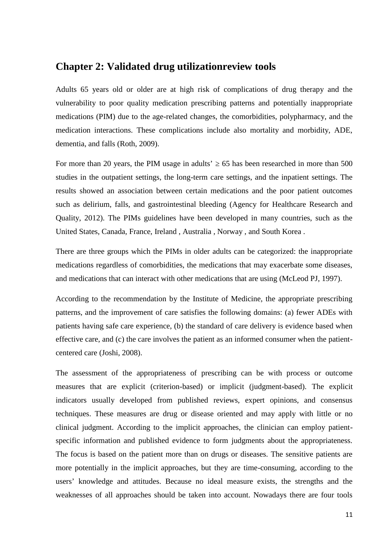## **Chapter 2: Validated drug utilizationreview tools**

Adults 65 years old or older are at high risk of complications of drug therapy and the vulnerability to poor quality medication prescribing patterns and potentially inappropriate medications (PIM) due to the age-related changes, the comorbidities, polypharmacy, and the medication interactions. These complications include also mortality and morbidity, ADE, dementia, and falls (Roth, 2009).

For more than 20 years, the PIM usage in adults' 65 has been researched in more than 500 studies in the outpatient settings, the long-term care settings, and the inpatient settings. The results showed an association between certain medications and the poor patient outcomes such as delirium, falls, and gastrointestinal bleeding (Agency for Healthcare Research and Quality, 2012). The PIMs guidelines have been developed in many countries, such as the United States, Canada, France, Ireland , Australia , Norway , and South Korea .

There are three groups which the PIMs in older adults can be categorized: the inappropriate medications regardless of comorbidities, the medications that may exacerbate some diseases, and medications that can interact with other medications that are using (McLeod PJ, 1997).

According to the recommendation by the Institute of Medicine, the appropriate prescribing patterns, and the improvement of care satisfies the following domains: (a) fewer ADEs with patients having safe care experience, (b) the standard of care delivery is evidence based when effective care, and (c) the care involves the patient as an informed consumer when the patient centered care (Joshi, 2008).

The assessment of the appropriateness of prescribing can be with process or outcome measures that are explicit (criterion-based) or implicit (judgment-based). The explicit indicators usually developed from published reviews, expert opinions, and consensus techniques. These measures are drug or disease oriented and may apply with little or no clinical judgment. According to the implicit approaches, the clinician can employ patient specific information and published evidence to form judgments about the appropriateness. The focus is based on the patient more than on drugs or diseases. The sensitive patients are more potentially in the implicit approaches, but they are time-consuming, according to the users' knowledge and attitudes. Because no ideal measure exists, the strengths and the weaknesses of all approaches should be taken into account. Nowadays there are four tools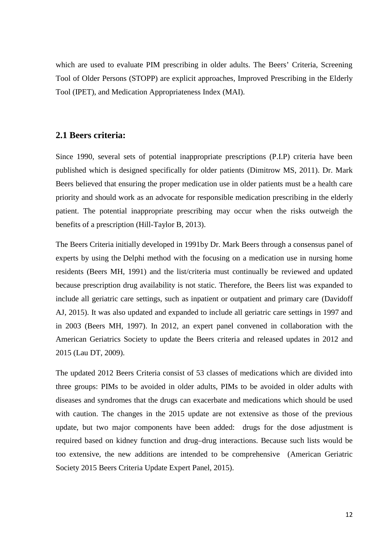which are used to evaluate PIM prescribing in older adults. The Beers' Criteria, Screening Tool of Older Persons (STOPP) are explicit approaches, Improved Prescribing in the Elderly Tool (IPET), and Medication Appropriateness Index (MAI).

### **2.1 Beers criteria:**

Since 1990, several sets of potential inappropriate prescriptions (P.I.P) criteria have been published which is designed specifically for older patients (Dimitrow MS, 2011). Dr. Mark Beers believed that ensuring the proper medication use in older patients must be a health care priority and should work as an advocate for responsible medication prescribing in the elderly patient. The potential inappropriate prescribing may occur when the risks outweigh the benefits of a prescription (Hill-Taylor B, 2013).

The Beers Criteria initially developed in 1991by Dr. Mark Beers through a consensus panel of experts by using the Delphi method with the focusing on a medication use in nursing home residents (Beers MH, 1991) and the list/criteria must continually be reviewed and updated because prescription drug availability is not static. Therefore, the Beers list was expanded to include all geriatric care settings, such as inpatient or outpatient and primary care (Davidoff AJ, 2015). It was also updated and expanded to include all geriatric care settings in 1997 and in 2003 (Beers MH, 1997). In 2012, an expert panel convened in collaboration with the American Geriatrics Society to update the Beers criteria and released updates in 2012 and 2015 (Lau DT, 2009).

The updated 2012 Beers Criteria consist of 53 classes of medications which are divided into three groups: PIMs to be avoided in older adults, PIMs to be avoided in older adults with diseases and syndromes that the drugs can exacerbate and medications which should be used with caution. The changes in the 2015 update are not extensive as those of the previous update, but two major components have been added: drugs for the dose adjustment is required based on kidney function and drug–drug interactions. Because such lists would be too extensive, the new additions are intended to be comprehensive (American Geriatric Society 2015 Beers Criteria Update Expert Panel, 2015).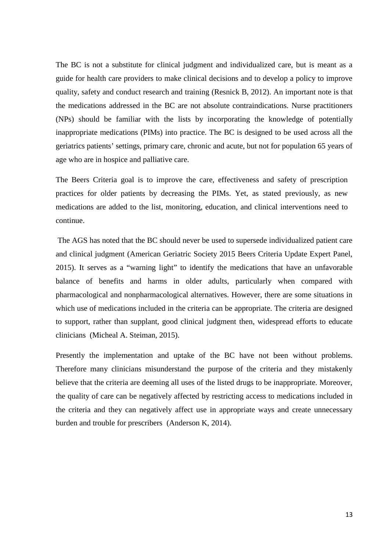The BC is not a substitute for clinical judgment and individualized care, but is meant as a guide for health care providers to make clinical decisions and to develop a policy to improve quality, safety and conduct research and training (Resnick B, 2012). An important note is that the medications addressed in the BC are not absolute contraindications. Nurse practitioners (NPs) should be familiar with the lists by incorporating the knowledge of potentially inappropriate medications (PIMs) into practice. The BC is designed to be used across all the geriatrics patients' settings, primary care, chronic and acute, but not for population 65 years of age who are in hospice and palliative care.

The Beers Criteria goal is to improve the care, effectiveness and safety of prescription practices for older patients by decreasing the PIMs. Yet, as stated previously, as new medications are added to the list, monitoring, education, and clinical interventions need to continue.

The AGS has noted that the BC should never be used to supersede individualized patient care and clinical judgment (American Geriatric Society 2015 Beers Criteria Update Expert Panel, 2015). It serves as a "warning light" to identify the medications that have an unfavorable balance of benefits and harms in older adults, particularly when compared with pharmacological and nonpharmacological alternatives. However, there are some situations in which use of medications included in the criteria can be appropriate. The criteria are designed to support, rather than supplant, good clinical judgment then, widespread efforts to educate clinicians (Micheal A. Steiman, 2015).

Presently the implementation and uptake of the BC have not been without problems. Therefore many clinicians misunderstand the purpose of the criteria and they mistakenly believe that the criteria are deeming all uses of the listed drugs to be inappropriate. Moreover, the quality of care can be negatively affected by restricting access to medications included in the criteria and they can negatively affect use in appropriate ways and create unnecessary burden and trouble for prescribers (Anderson K, 2014).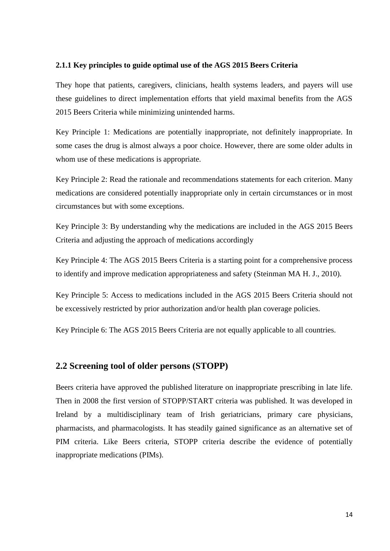#### **2.1.1 Key principles to guide optimal use of the AGS 2015 Beers Criteria**

They hope that patients, caregivers, clinicians, health systems leaders, and payers will use these guidelines to direct implementation efforts that yield maximal benefits from the AGS 2015 Beers Criteria while minimizing unintended harms.

Key Principle 1: Medications are potentially inappropriate, not definitely inappropriate. In some cases the drug is almost always a poor choice. However, there are some older adults in whom use of these medications is appropriate.

Key Principle 2: Read the rationale and recommendations statements for each criterion. Many medications are considered potentially inappropriate only in certain circumstances or in most circumstances but with some exceptions.

Key Principle 3: By understanding why the medications are included in the AGS 2015 Beers Criteria and adjusting the approach of medications accordingly

Key Principle 4: The AGS 2015 Beers Criteria is a starting point for a comprehensive process to identify and improve medication appropriateness and safety (Steinman MA H. J., 2010).

Key Principle 5: Access to medications included in the AGS 2015 Beers Criteria should not be excessively restricted by prior authorization and/or health plan coverage policies.

Key Principle 6: The AGS 2015 Beers Criteria are not equally applicable to all countries.

### **2.2 Screening tool of older persons (STOPP)**

Beers criteria have approved the published literature on inappropriate prescribing in late life. Then in 2008 the first version of STOPP/START criteria was published. It was developed in Ireland by a multidisciplinary team of Irish geriatricians, primary care physicians, pharmacists, and pharmacologists. It has steadily gained significance as an alternative set of PIM criteria. Like Beers criteria, STOPP criteria describe the evidence of potentially inappropriate medications (PIMs).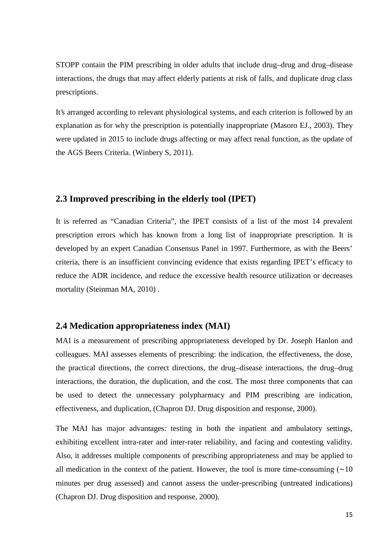STOPP contain the PIM prescribing in older adults that include drug–drug and drug–disease interactions, the drugs that may affect elderly patients at risk of falls, and duplicate drug class prescriptions.

It's arranged according to relevant physiological systems, and each criterion is followed by an explanation as for why the prescription is potentially inappropriate (Masoro EJ., 2003). They were updated in 2015 to include drugs affecting or may affect renal function, as the update of the AGS Beers Criteria. (Winbery S, 2011).

### **2.3 Improved prescribing in the elderly tool (IPET)**

It is referred as "Canadian Criteria", the IPET consists of a list of the most 14 prevalent prescription errors which has known from a long list of inappropriate prescription. It is developed by an expert Canadian Consensus Panel in 1997. Furthermore, as with the Beers' criteria, there is an insufficient convincing evidence that exists regarding IPET's efficacy to reduce the ADR incidence, and reduce the excessive health resource utilization or decreases mortality (Steinman MA, 2010) .

### **2.4 Medication appropriateness index (MAI)**

MAI is a measurement of prescribing appropriateness developed by Dr. Joseph Hanlon and colleagues. MAI assesses elements of prescribing: the indication, the effectiveness, the dose, the practical directions, the correct directions, the drug–disease interactions, the drug–drug interactions, the duration, the duplication, and the cost. The most three components that can be used to detect the unnecessary polypharmacy and PIM prescribing are indication, effectiveness, and duplication, (Chapron DJ. Drug disposition and response, 2000).

The MAI has major advantages: testing in both the inpatient and ambulatory settings, exhibiting excellent intra-rater and inter-rater reliability, and facing and contesting validity. Also, it addresses multiple components of prescribing appropriateness and may be applied to all medication in the context of the patient. However, the tool is more time-consuming  $(∼10$ minutes per drug assessed) and cannot assess the under-prescribing (untreated indications) (Chapron DJ. Drug disposition and response, 2000).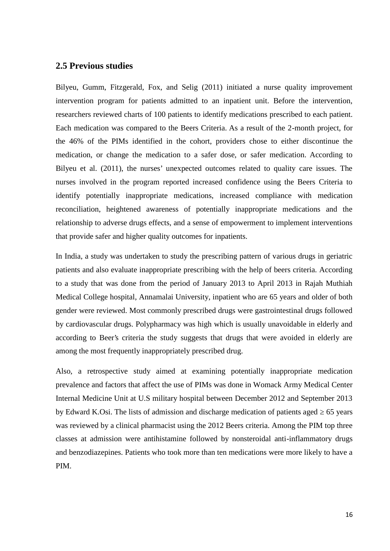### **2.5 Previous studies**

Bilyeu, Gumm, Fitzgerald, Fox, and Selig (2011) initiated a nurse quality improvement intervention program for patients admitted to an inpatient unit. Before the intervention, researchers reviewed charts of 100 patients to identify medications prescribed to each patient. Each medication was compared to the Beers Criteria. As a result of the 2-month project, for the 46% of the PIMs identified in the cohort, providers chose to either discontinue the medication, or change the medication to a safer dose, or safer medication. According to Bilyeu et al. (2011), the nurses' unexpected outcomes related to quality care issues. The nurses involved in the program reported increased confidence using the Beers Criteria to identify potentially inappropriate medications, increased compliance with medication reconciliation, heightened awareness of potentially inappropriate medications and the relationship to adverse drugs effects, and a sense of empowerment to implement interventions that provide safer and higher quality outcomes for inpatients.

In India, a study was undertaken to study the prescribing pattern of various drugs in geriatric patients and also evaluate inappropriate prescribing with the help of beers criteria. According to a study that was done from the period of January 2013 to April 2013 in Rajah Muthiah Medical College hospital, Annamalai University, inpatient who are 65 years and older of both gender were reviewed. Most commonly prescribed drugs were gastrointestinal drugs followed by cardiovascular drugs. Polypharmacy was high which is usually unavoidable in elderly and according to Beer's criteria the study suggests that drugs that were avoided in elderly are among the most frequently inappropriately prescribed drug.

Also, a retrospective study aimed at examining potentially inappropriate medication prevalence and factors that affect the use of PIMs was done in Womack Army Medical Center Internal Medicine Unit at U.S military hospital between December 2012 and September 2013 by Edward K.Osi. The lists of admission and discharge medication of patients aged  $\epsilon$  65 years was reviewed by a clinical pharmacist using the 2012 Beers criteria. Among the PIM top three classes at admission were antihistamine followed by nonsteroidal anti-inflammatory drugs and benzodiazepines. Patients who took more than ten medications were more likely to have a PIM.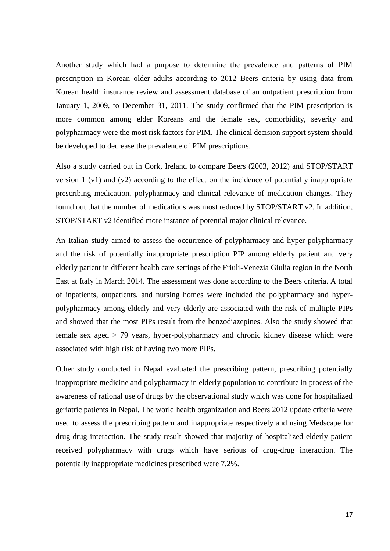Another study which had a purpose to determine the prevalence and patterns of PIM prescription in Korean older adults according to 2012 Beers criteria by using data from Korean health insurance review and assessment database of an outpatient prescription from January 1, 2009, to December 31, 2011. The study confirmed that the PIM prescription is more common among elder Koreans and the female sex, comorbidity, severity and polypharmacy were the most risk factors for PIM. The clinical decision support system should be developed to decrease the prevalence of PIM prescriptions.

Also a study carried out in Cork, Ireland to compare Beers (2003, 2012) and STOP/START version 1 (v1) and (v2) according to the effect on the incidence of potentially inappropriate prescribing medication, polypharmacy and clinical relevance of medication changes. They found out that the number of medications was most reduced by STOP/START v2. In addition, STOP/START v2 identified more instance of potential major clinical relevance.

An Italian study aimed to assess the occurrence of polypharmacy and hyper-polypharmacy and the risk of potentially inappropriate prescription PIP among elderly patient and very elderly patient in different health care settings of the Friuli-Venezia Giulia region in the North East at Italy in March 2014. The assessment was done according to the Beers criteria. A total of inpatients, outpatients, and nursing homes were included the polypharmacy and hyper polypharmacy among elderly and very elderly are associated with the risk of multiple PIPs and showed that the most PIPs result from the benzodiazepines. Also the study showed that female sex aged > 79 years, hyper-polypharmacy and chronic kidney disease which were associated with high risk of having two more PIPs.

Other study conducted in Nepal evaluated the prescribing pattern, prescribing potentially inappropriate medicine and polypharmacy in elderly population to contribute in process of the awareness of rational use of drugs by the observational study which was done for hospitalized geriatric patients in Nepal. The world health organization and Beers 2012 update criteria were used to assess the prescribing pattern and inappropriate respectively and using Medscape for drug-drug interaction. The study result showed that majority of hospitalized elderly patient received polypharmacy with drugs which have serious of drug-drug interaction. The potentially inappropriate medicines prescribed were 7.2%.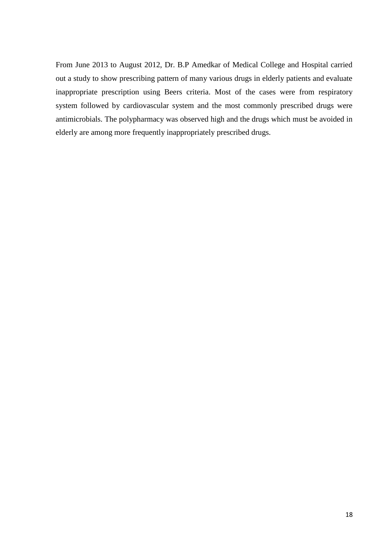From June 2013 to August 2012, Dr. B.P Amedkar of Medical College and Hospital carried out a study to show prescribing pattern of many various drugs in elderly patients and evaluate inappropriate prescription using Beers criteria. Most of the cases were from respiratory system followed by cardiovascular system and the most commonly prescribed drugs were antimicrobials. The polypharmacy was observed high and the drugs which must be avoided in elderly are among more frequently inappropriately prescribed drugs.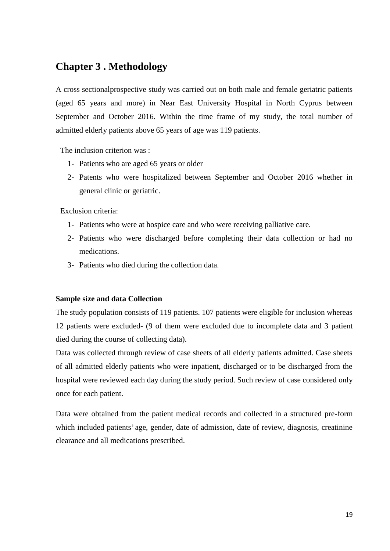## **Chapter 3 . Methodology**

A cross sectionalprospective study was carried out on both male and female geriatric patients (aged 65 years and more) in Near East University Hospital in North Cyprus between September and October 2016. Within the time frame of my study, the total number of admitted elderly patients above 65 years of age was 119 patients.

The inclusion criterion was :

- 1- Patients who are aged 65 years or older
- 2- Patents who were hospitalized between September and October 2016 whether in general clinic or geriatric.

Exclusion criteria:

- 1- Patients who were at hospice care and who were receiving palliative care.
- 2- Patients who were discharged before completing their data collection or had no medications.
- 3- Patients who died during the collection data.

### **Sample size and data Collection**

The study population consists of 119 patients. 107 patients were eligible for inclusion whereas 12 patients were excluded- (9 of them were excluded due to incomplete data and 3 patient died during the course of collecting data).

Data was collected through review of case sheets of all elderly patients admitted. Case sheets of all admitted elderly patients who were inpatient, discharged or to be discharged from the hospital were reviewed each day during the study period. Such review of case considered only once for each patient.

Data were obtained from the patient medical records and collected in a structured pre-form which included patients' age, gender, date of admission, date of review, diagnosis, creatinine clearance and all medications prescribed.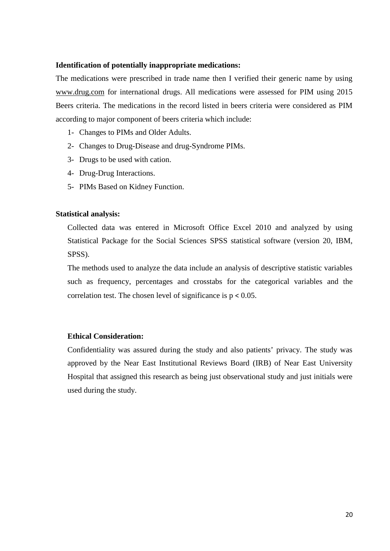#### **Identification of potentially inappropriate medications:**

The medications were prescribed in trade name then I verified their generic name by using www.drug.com for international drugs. All medications were assessed for PIM using 2015 Beers criteria. The medications in the record listed in beers criteria were considered as PIM according to major component of beers criteria which include:

- 1- Changes to PIMs and Older Adults.
- 2- Changes to Drug-Disease and drug-Syndrome PIMs.
- 3- Drugs to be used with cation.
- 4- Drug-Drug Interactions.
- 5- PIMs Based on Kidney Function.

### **Statistical analysis:**

Collected data was entered in Microsoft Office Excel 2010 and analyzed by using Statistical Package for the Social Sciences SPSS statistical software (version 20, IBM, SPSS).

The methods used to analyze the data include an analysis of descriptive statistic variables such as frequency, percentages and crosstabs for the categorical variables and the correlation test. The chosen level of significance is  $p < 0.05$ .

### **Ethical Consideration:**

Confidentiality was assured during the study and also patients' privacy. The study was approved by the Near East Institutional Reviews Board (IRB) of Near East University Hospital that assigned this research as being just observational study and just initials were used during the study.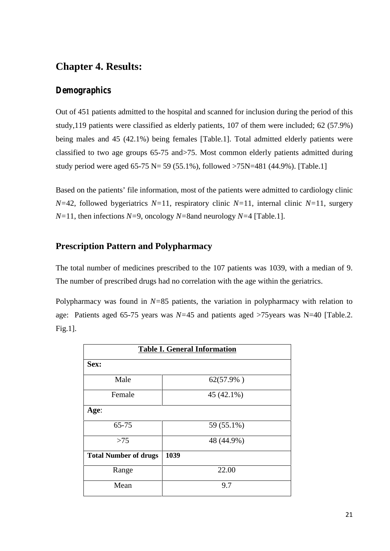## **Chapter 4. Results:**

## *Demographics*

Out of 451 patients admitted to the hospital and scanned for inclusion during the period of this study,119 patients were classified as elderly patients, 107 of them were included; 62 (57.9%) being males and 45 (42.1%) being females [Table.1]. Total admitted elderly patients were classified to two age groups 65-75 and>75. Most common elderly patients admitted during study period were aged 65-75 N= 59 (55.1%), followed >75N=481 (44.9%). [Table.1]

Based on the patients' file information, most of the patients were admitted to cardiology clinic *N=*42, followed bygeriatrics *N=*11, respiratory clinic *N=*11, internal clinic *N=*11, surgery *N=*11, then infections *N=*9, oncology *N=*8and neurology *N=*4 [Table.1].

## **Prescription Pattern and Polypharmacy**

The total number of medicines prescribed to the 107 patients was 1039, with a median of 9. The number of prescribed drugs had no correlation with the age within the geriatrics.

Polypharmacy was found in *N=*85 patients, the variation in polypharmacy with relation to age: Patients aged 65-75 years was *N=*45 and patients aged >75years was N=40 [Table.2. Fig.1].

| <b>Table I. General Information</b> |              |
|-------------------------------------|--------------|
| Sex:                                |              |
| Male                                | $62(57.9\%)$ |
| Female                              | 45 (42.1%)   |
| Age:                                |              |
| 65-75                               | 59 (55.1%)   |
| >75                                 | 48 (44.9%)   |
| <b>Total Number of drugs</b>        | 1039         |
| Range                               | 22.00        |
| Mean                                | 9.7          |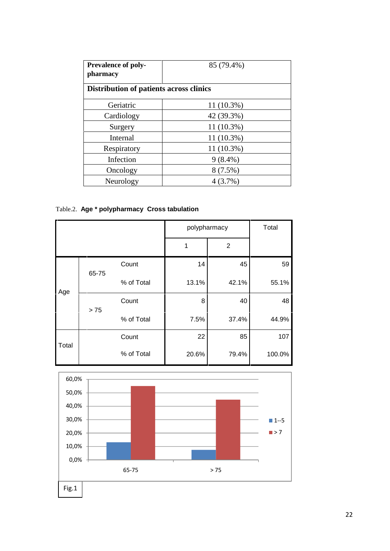| <b>Prevalence of poly-</b><br>pharmacy  | 85 (79.4%)   |  |
|-----------------------------------------|--------------|--|
| Distribution of patients across clinics |              |  |
| Geriatric                               | 11 (10.3%)   |  |
| Cardiology                              | 42 (39.3%)   |  |
| Surgery                                 | $11(10.3\%)$ |  |
| Internal                                | 11 (10.3%)   |  |
| Respiratory                             | $11(10.3\%)$ |  |
| Infection                               | $9(8.4\%)$   |  |
| Oncology                                | $8(7.5\%)$   |  |
| Neurology                               | 4 (3.7%)     |  |

## Table.2. **Age \* polypharmacy Cross tabulation**

|       |       |            | polypharmacy | Total          |        |
|-------|-------|------------|--------------|----------------|--------|
|       |       |            | 1            | $\overline{2}$ |        |
| Age   | 65-75 | Count      | 14           | 45             | 59     |
|       |       | % of Total | 13.1%        | 42.1%          | 55.1%  |
|       | $>75$ | Count      | 8            | 40             | 48     |
|       |       | % of Total | 7.5%         | 37.4%          | 44.9%  |
| Total |       | Count      | 22           | 85             | 107    |
|       |       | % of Total | 20.6%        | 79.4%          | 100.0% |

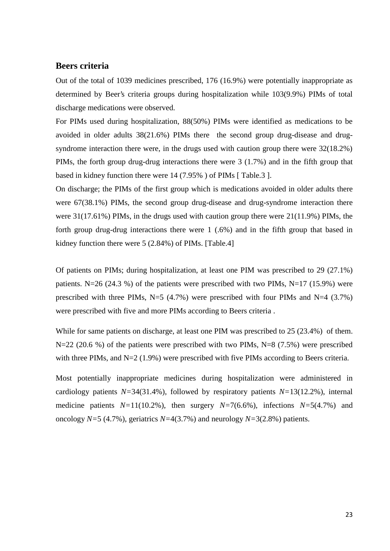### **Beers criteria**

Out of the total of 1039 medicines prescribed, 176 (16.9%) were potentially inappropriate as determined by Beer's criteria groups during hospitalization while 103(9.9%) PIMs of total discharge medications were observed.

For PIMs used during hospitalization, 88(50%) PIMs were identified as medications to be avoided in older adults 38(21.6%) PIMs there the second group drug-disease and drug syndrome interaction there were, in the drugs used with caution group there were 32(18.2%) PIMs, the forth group drug-drug interactions there were 3 (1.7%) and in the fifth group that based in kidney function there were 14 (7.95% ) of PIMs [ Table.3 ].

On discharge; the PIMs of the first group which is medications avoided in older adults there were 67(38.1%) PIMs, the second group drug-disease and drug-syndrome interaction there were 31(17.61%) PIMs, in the drugs used with caution group there were 21(11.9%) PIMs, the forth group drug-drug interactions there were 1 (.6%) and in the fifth group that based in kidney function there were 5 (2.84%) of PIMs. [Table.4]

Of patients on PIMs; during hospitalization, at least one PIM was prescribed to 29 (27.1%) patients. N=26 (24.3 %) of the patients were prescribed with two PIMs, N=17 (15.9%) were prescribed with three PIMs,  $N=5$  (4.7%) were prescribed with four PIMs and  $N=4$  (3.7%) were prescribed with five and more PIMs according to Beers criteria .

While for same patients on discharge, at least one PIM was prescribed to 25 (23.4%) of them. N=22 (20.6 %) of the patients were prescribed with two PIMs, N=8 (7.5%) were prescribed with three PIMs, and N=2 (1.9%) were prescribed with five PIMs according to Beers criteria.

Most potentially inappropriate medicines during hospitalization were administered in cardiology patients *N=*34(31.4%), followed by respiratory patients *N=*13(12.2%), internal medicine patients *N=*11(10.2%), then surgery *N=*7(6.6%), infections *N=*5(4.7%) and oncology *N=*5 (4.7%), geriatrics *N=*4(3.7%) and neurology *N=*3(2.8%) patients.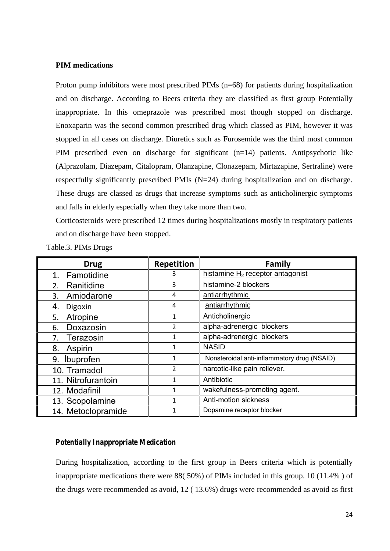### **PIM medications**

Proton pump inhibitors were most prescribed PIMs (n=68) for patients during hospitalization and on discharge. According to Beers criteria they are classified as first group Potentially inappropriate. In this omeprazole was prescribed most though stopped on discharge. Enoxaparin was the second common prescribed drug which classed as PIM, however it was stopped in all cases on discharge. Diuretics such as Furosemide was the third most common PIM prescribed even on discharge for significant (n=14) patients. Antipsychotic like (Alprazolam, Diazepam, Citalopram, Olanzapine, Clonazepam, Mirtazapine, Sertraline) were respectfully significantly prescribed PMIs (N=24) during hospitalization and on discharge. These drugs are classed as drugs that increase symptoms such as anticholinergic symptoms and falls in elderly especially when they take more than two.

Corticosteroids were prescribed 12 times during hospitalizations mostly in respiratory patients and on discharge have been stopped.

| <b>Drug</b>         | <b>Repetition</b> | Family                                      |
|---------------------|-------------------|---------------------------------------------|
| Famotidine<br>1.    | 3                 | histamine $H_2$ receptor antagonist         |
| Ranitidine<br>2.    | 3                 | histamine-2 blockers                        |
| Amiodarone<br>3.    | 4                 | antiarrhythmic                              |
| 4.<br>Digoxin       | 4                 | antiarrhythmic                              |
| Atropine<br>5.      | 1                 | Anticholinergic                             |
| Doxazosin<br>6.     | 2                 | alpha-adrenergic blockers                   |
| Terazosin<br>7.     | 1                 | alpha-adrenergic blockers                   |
| 8.<br>Aspirin       | 1                 | <b>NASID</b>                                |
| 9. <i>Ibuprofen</i> | 1                 | Nonsteroidal anti-inflammatory drug (NSAID) |
| 10. Tramadol        | $\overline{2}$    | narcotic-like pain reliever.                |
| 11. Nitrofurantoin  | 1                 | Antibiotic                                  |
| 12. Modafinil       | 1                 | wakefulness-promoting agent.                |
| 13. Scopolamine     | $\mathbf{1}$      | Anti-motion sickness                        |
| 14. Metoclopramide  | 1                 | Dopamine receptor blocker                   |

Table.3. PIMs Drugs

#### *Potentially Inappropriate Medication*

During hospitalization, according to the first group in Beers criteria which is potentially inappropriate medications there were 88( 50%) of PIMs included in this group. 10 (11.4% ) of the drugs were recommended as avoid, 12 ( 13.6%) drugs were recommended as avoid as first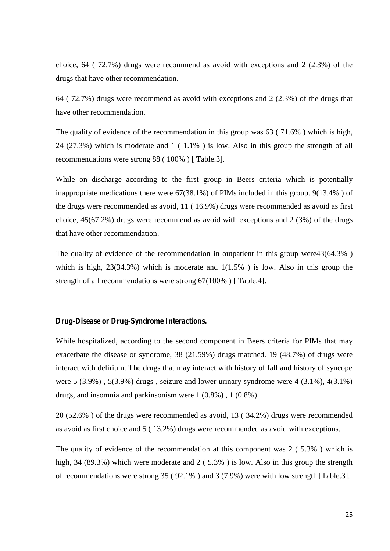choice, 64 ( 72.7%) drugs were recommend as avoid with exceptions and 2 (2.3%) of the drugs that have other recommendation.

64 ( 72.7%) drugs were recommend as avoid with exceptions and 2 (2.3%) of the drugs that have other recommendation.

The quality of evidence of the recommendation in this group was 63 ( 71.6% ) which is high, 24 (27.3%) which is moderate and 1 ( 1.1% ) is low. Also in this group the strength of all recommendations were strong 88 ( 100% ) [ Table.3].

While on discharge according to the first group in Beers criteria which is potentially inappropriate medications there were 67(38.1%) of PIMs included in this group. 9(13.4% ) of the drugs were recommended as avoid, 11 ( 16.9%) drugs were recommended as avoid as first choice, 45(67.2%) drugs were recommend as avoid with exceptions and 2 (3%) of the drugs that have other recommendation.

The quality of evidence of the recommendation in outpatient in this group were43(64.3% ) which is high,  $23(34.3%)$  which is moderate and  $1(1.5%)$  is low. Also in this group the strength of all recommendations were strong 67(100%) [Table.4].

#### *Drug-Disease or Drug-Syndrome Interactions.*

While hospitalized, according to the second component in Beers criteria for PIMs that may exacerbate the disease or syndrome, 38 (21.59%) drugs matched. 19 (48.7%) of drugs were interact with delirium. The drugs that may interact with history of fall and history of syncope were  $5$  (3.9%),  $5(3.9\%)$  drugs, seizure and lower urinary syndrome were 4 (3.1%),  $4(3.1\%)$ drugs, and insomnia and parkinsonism were 1 (0.8%) , 1 (0.8%) .

20 (52.6% ) of the drugs were recommended as avoid, 13 ( 34.2%) drugs were recommended as avoid as first choice and 5 ( 13.2%) drugs were recommended as avoid with exceptions.

The quality of evidence of the recommendation at this component was 2 ( 5.3% ) which is high, 34 (89.3%) which were moderate and 2 (5.3%) is low. Also in this group the strength of recommendations were strong 35 ( 92.1% ) and 3 (7.9%) were with low strength [Table.3].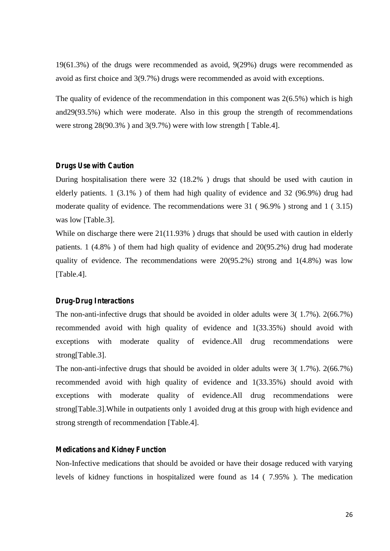19(61.3%) of the drugs were recommended as avoid, 9(29%) drugs were recommended as avoid as first choice and 3(9.7%) drugs were recommended as avoid with exceptions.

The quality of evidence of the recommendation in this component was 2(6.5%) which is high and29(93.5%) which were moderate. Also in this group the strength of recommendations were strong 28(90.3% ) and 3(9.7%) were with low strength [ Table.4].

#### *Drugs Use with Caution*

During hospitalisation there were 32 (18.2% ) drugs that should be used with caution in elderly patients. 1 (3.1% ) of them had high quality of evidence and 32 (96.9%) drug had moderate quality of evidence. The recommendations were 31 ( 96.9% ) strong and 1 ( 3.15) was low [Table.3].

While on discharge there were 21(11.93%) drugs that should be used with caution in elderly patients. 1 (4.8% ) of them had high quality of evidence and 20(95.2%) drug had moderate quality of evidence. The recommendations were 20(95.2%) strong and 1(4.8%) was low [Table.4].

#### *Drug-Drug Interactions*

The non-anti-infective drugs that should be avoided in older adults were 3( 1.7%). 2(66.7%) recommended avoid with high quality of evidence and 1(33.35%) should avoid with exceptions with moderate quality of evidence.All drug recommendations were strong[Table.3].

The non-anti-infective drugs that should be avoided in older adults were 3( 1.7%). 2(66.7%) recommended avoid with high quality of evidence and 1(33.35%) should avoid with exceptions with moderate quality of evidence.All drug recommendations were strong[Table.3].While in outpatients only 1 avoided drug at this group with high evidence and strong strength of recommendation [Table.4].

#### *Medications and Kidney Function*

Non-Infective medications that should be avoided or have their dosage reduced with varying levels of kidney functions in hospitalized were found as 14 ( 7.95% ). The medication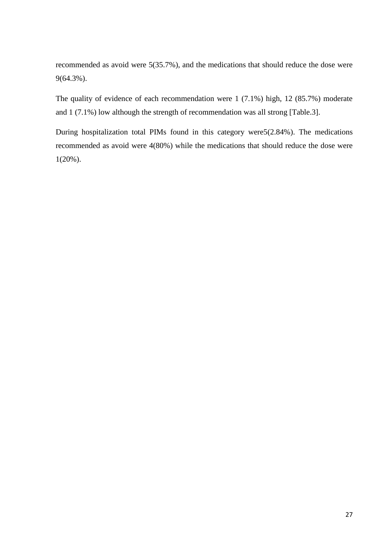recommended as avoid were 5(35.7%), and the medications that should reduce the dose were 9(64.3%).

The quality of evidence of each recommendation were 1 (7.1%) high, 12 (85.7%) moderate and 1 (7.1%) low although the strength of recommendation was all strong [Table.3].

During hospitalization total PIMs found in this category were5(2.84%). The medications recommended as avoid were 4(80%) while the medications that should reduce the dose were 1(20%).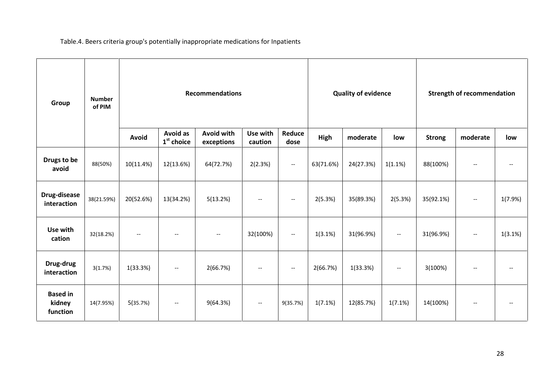Table.4. Beers criteria group's potentially inappropriate medications for Inpatients

| Group                                 | <b>Number</b><br>of PIM | <b>Recommendations</b>   |                                 |                                 |                          |                                                     | <b>Quality of evidence</b> |           |                                                     | <b>Strength of recommendation</b> |                          |                          |
|---------------------------------------|-------------------------|--------------------------|---------------------------------|---------------------------------|--------------------------|-----------------------------------------------------|----------------------------|-----------|-----------------------------------------------------|-----------------------------------|--------------------------|--------------------------|
|                                       |                         | Avoid                    | <b>Avoid as</b><br>$1st$ choice | <b>Avoid with</b><br>exceptions | Use with<br>caution      | Reduce<br>dose                                      | High                       | moderate  | low                                                 | <b>Strong</b>                     | moderate                 | low                      |
| Drugs to be<br>avoid                  | 88(50%)                 | 10(11.4%)                | 12(13.6%)                       | 64(72.7%)                       | 2(2.3%)                  | $\overline{\phantom{a}}$                            | 63(71.6%)                  | 24(27.3%) | 1(1.1%)                                             | 88(100%)                          | $\hspace{0.05cm} \ldots$ | $\overline{\phantom{m}}$ |
| Drug-disease<br>interaction           | 38(21.59%)              | 20(52.6%)                | 13(34.2%)                       | 5(13.2%)                        | $-\!$ $\!-$              | $\overline{\phantom{a}}$                            | 2(5.3%)                    | 35(89.3%) | 2(5.3%)                                             | 35(92.1%)                         | $\overline{\phantom{a}}$ | 1(7.9%)                  |
| Use with<br>cation                    | 32(18.2%)               | $\hspace{0.05cm} \dashv$ | $\overline{\phantom{m}}$        |                                 | 32(100%)                 | $\hspace{0.05cm} -\hspace{0.05cm} -\hspace{0.05cm}$ | 1(3.1%)                    | 31(96.9%) | $\hspace{0.05cm} \ldots$                            | 31(96.9%)                         | $\hspace{0.05cm} \ldots$ | 1(3.1%)                  |
| Drug-drug<br>interaction              | 3(1.7%)                 | 1(33.3%)                 | $\hspace{0.05cm} \ldots$        | 2(66.7%)                        | $-\!$ $\!-$              | $\overline{\phantom{a}}$                            | 2(66.7%)                   | 1(33.3%)  | $\hspace{0.05cm} -\hspace{0.05cm} -\hspace{0.05cm}$ | 3(100%)                           | $\hspace{0.05cm} \ldots$ | $-\!$ –                  |
| <b>Based in</b><br>kidney<br>function | 14(7.95%)               | 5(35.7%)                 | $\hspace{0.05cm} \ldots$        | 9(64.3%)                        | $\hspace{0.05cm} \ldots$ | 9(35.7%)                                            | 1(7.1%)                    | 12(85.7%) | 1(7.1%)                                             | 14(100%)                          | $\hspace{0.05cm} \ldots$ | $-\!$ $\!-$              |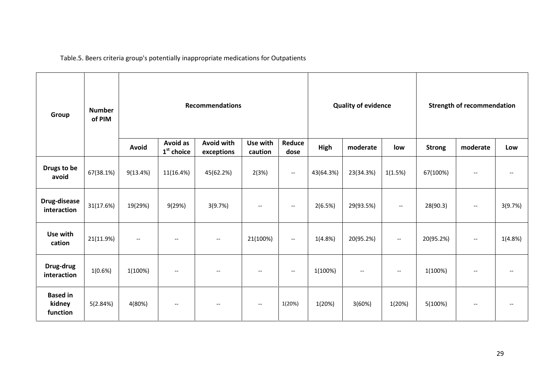Table.5. Beers criteria group's potentially inappropriate medications for Outpatients

| Group                                 | <b>Number</b><br>of PIM | <b>Recommendations</b>   |                                       |                                                     |                          |                                                     | <b>Quality of evidence</b> |           |                          | <b>Strength of recommendation</b> |                          |         |
|---------------------------------------|-------------------------|--------------------------|---------------------------------------|-----------------------------------------------------|--------------------------|-----------------------------------------------------|----------------------------|-----------|--------------------------|-----------------------------------|--------------------------|---------|
|                                       |                         | Avoid                    | <b>Avoid as</b><br>$1st$ choice       | <b>Avoid with</b><br>exceptions                     | Use with<br>caution      | Reduce<br>dose                                      | High                       | moderate  | low                      | <b>Strong</b>                     | moderate                 | Low     |
| Drugs to be<br>avoid                  | 67(38.1%)               | 9(13.4%)                 | 11(16.4%)                             | 45(62.2%)                                           | 2(3%)                    | $\hspace{0.05cm} -\hspace{0.05cm} -\hspace{0.05cm}$ | 43(64.3%)                  | 23(34.3%) | 1(1.5%)                  | 67(100%)                          | $\overline{\phantom{m}}$ | --      |
| Drug-disease<br>interaction           | 31(17.6%)               | 19(29%)                  | 9(29%)                                | 3(9.7%)                                             | $-\!$                    | $\hspace{0.05cm} \ldots$                            | 2(6.5%)                    | 29(93.5%) | $\hspace{0.05cm} \ldots$ | 28(90.3)                          | $\overline{\phantom{m}}$ | 3(9.7%) |
| Use with<br>cation                    | 21(11.9%)               | $\hspace{0.05cm} \ldots$ | $\overline{\phantom{a}}$              | $\hspace{0.05cm} \ldots$                            | 21(100%)                 | $--$                                                | 1(4.8%)                    | 20(95.2%) | $\overline{\phantom{a}}$ | 20(95.2%)                         | $\overline{\phantom{m}}$ | 1(4.8%) |
| Drug-drug<br>interaction              | 1(0.6%)                 | 1(100%)                  | $\hspace{0.05cm}$ – $\hspace{0.05cm}$ |                                                     | Ξ.                       | $\hspace{0.05cm} -\hspace{0.05cm} -\hspace{0.05cm}$ | 1(100%)                    | $-\!$     | $-\, -$                  | 1(100%)                           | $-\, -$                  | --      |
| <b>Based in</b><br>kidney<br>function | 5(2.84%)                | 4(80%)                   | $\hspace{0.05cm}$ – $\hspace{0.05cm}$ | $\hspace{0.05cm} -\hspace{0.05cm} -\hspace{0.05cm}$ | $\overline{\phantom{m}}$ | 1(20%)                                              | 1(20%)                     | 3(60%)    | 1(20%)                   | 5(100%)                           | $-\, -$                  | --      |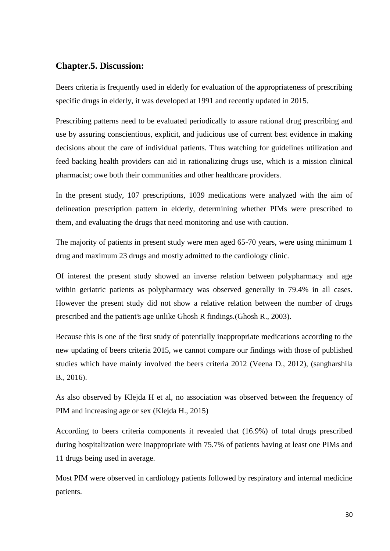### **Chapter.5. Discussion:**

Beers criteria is frequently used in elderly for evaluation of the appropriateness of prescribing specific drugs in elderly, it was developed at 1991 and recently updated in 2015.

Prescribing patterns need to be evaluated periodically to assure rational drug prescribing and use by assuring conscientious, explicit, and judicious use of current best evidence in making decisions about the care of individual patients. Thus watching for guidelines utilization and feed backing health providers can aid in rationalizing drugs use, which is a mission clinical pharmacist; owe both their communities and other healthcare providers.

In the present study, 107 prescriptions, 1039 medications were analyzed with the aim of delineation prescription pattern in elderly, determining whether PIMs were prescribed to them, and evaluating the drugs that need monitoring and use with caution.

The majority of patients in present study were men aged 65-70 years, were using minimum 1 drug and maximum 23 drugs and mostly admitted to the cardiology clinic.

Of interest the present study showed an inverse relation between polypharmacy and age within geriatric patients as polypharmacy was observed generally in 79.4% in all cases. However the present study did not show a relative relation between the number of drugs prescribed and the patient's age unlike Ghosh R findings.(Ghosh R., 2003).

Because this is one of the first study of potentially inappropriate medications according to the new updating of beers criteria 2015, we cannot compare our findings with those of published studies which have mainly involved the beers criteria 2012 (Veena D., 2012), (sangharshila B., 2016).

As also observed by Klejda H et al, no association was observed between the frequency of PIM and increasing age or sex (Klejda H., 2015)

According to beers criteria components it revealed that (16.9%) of total drugs prescribed during hospitalization were inappropriate with 75.7% of patients having at least one PIMs and 11 drugs being used in average.

Most PIM were observed in cardiology patients followed by respiratory and internal medicine patients.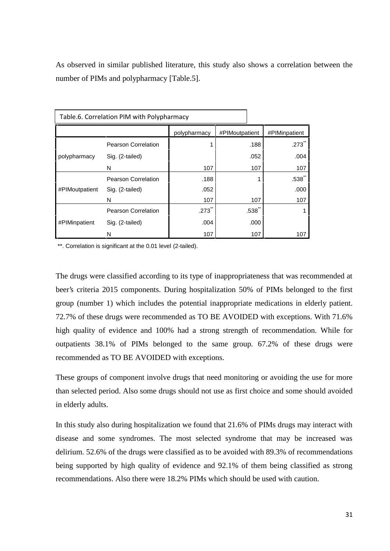As observed in similar published literature, this study also shows a correlation between the number of PIMs and polypharmacy [Table.5].

| Table.6. Correlation PIM with Polypharmacy |                            |              |                                        |               |  |  |  |  |  |
|--------------------------------------------|----------------------------|--------------|----------------------------------------|---------------|--|--|--|--|--|
|                                            |                            | polypharmacy | #PIMoutpatient                         | #PIMinpatient |  |  |  |  |  |
|                                            | Pearson Correlation        |              | .188                                   | .273          |  |  |  |  |  |
| polypharmacy                               | Sig. (2-tailed)            |              | .052                                   | .004          |  |  |  |  |  |
|                                            | N                          | 107          | 107                                    | 107           |  |  |  |  |  |
|                                            | Pearson Correlation        | .188         |                                        | .538          |  |  |  |  |  |
| #PIMoutpatient                             | Sig. (2-tailed)            | .052         |                                        | .000          |  |  |  |  |  |
|                                            | N                          | 107          | 107                                    | 107           |  |  |  |  |  |
|                                            | <b>Pearson Correlation</b> | .273         | $.538$ <sup><math>\degree</math></sup> |               |  |  |  |  |  |
| #PIMinpatient                              | Sig. (2-tailed)            | .004         | .000                                   |               |  |  |  |  |  |
|                                            | N                          | 107          | 107                                    | 107           |  |  |  |  |  |

\*\*. Correlation is significant at the 0.01 level (2-tailed).

The drugs were classified according to its type of inappropriateness that was recommended at beer's criteria 2015 components. During hospitalization 50% of PIMs belonged to the first group (number 1) which includes the potential inappropriate medications in elderly patient. 72.7% of these drugs were recommended as TO BE AVOIDED with exceptions. With 71.6% high quality of evidence and 100% had a strong strength of recommendation. While for outpatients 38.1% of PIMs belonged to the same group. 67.2% of these drugs were recommended as TO BE AVOIDED with exceptions.

These groups of component involve drugs that need monitoring or avoiding the use for more than selected period. Also some drugs should not use as first choice and some should avoided in elderly adults.

In this study also during hospitalization we found that 21.6% of PIMs drugs may interact with disease and some syndromes. The most selected syndrome that may be increased was delirium. 52.6% of the drugs were classified as to be avoided with 89.3% of recommendations being supported by high quality of evidence and 92.1% of them being classified as strong recommendations. Also there were 18.2% PIMs which should be used with caution.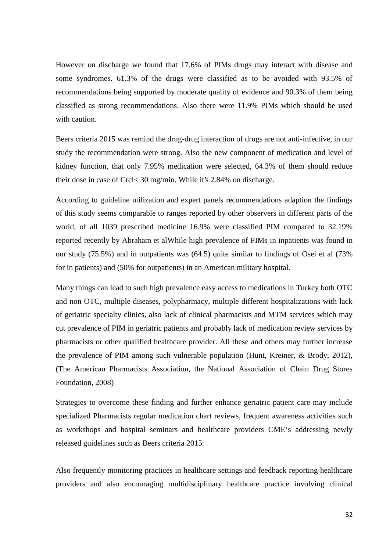However on discharge we found that 17.6% of PIMs drugs may interact with disease and some syndromes. 61.3% of the drugs were classified as to be avoided with 93.5% of recommendations being supported by moderate quality of evidence and 90.3% of them being classified as strong recommendations. Also there were 11.9% PIMs which should be used with caution.

Beers criteria 2015 was remind the drug-drug interaction of drugs are not anti-infective, in our study the recommendation were strong. Also the new component of medication and level of kidney function, that only 7.95% medication were selected, 64.3% of them should reduce their dose in case of Crcl< 30 mg/min. While it's 2.84% on discharge.

According to guideline utilization and expert panels recommendations adaption the findings of this study seems comparable to ranges reported by other observers in different parts of the world, of all 1039 prescribed medicine 16.9% were classified PIM compared to 32.19% reported recently by Abraham et alWhile high prevalence of PIMs in inpatients was found in our study (75.5%) and in outpatients was (64.5) quite similar to findings of Osei et al (73% for in patients) and (50% for outpatients) in an American military hospital.

Many things can lead to such high prevalence easy access to medications in Turkey both OTC and non OTC, multiple diseases, polypharmacy, multiple different hospitalizations with lack of geriatric specialty clinics, also lack of clinical pharmacists and MTM services which may cut prevalence of PIM in geriatric patients and probably lack of medication review services by pharmacists or other qualified healthcare provider. All these and others may further increase the prevalence of PIM among such vulnerable population (Hunt, Kreiner, & Brody, 2012), (The American Pharmacists Association, the National Association of Chain Drug Stores Foundation, 2008)

Strategies to overcome these finding and further enhance geriatric patient care may include specialized Pharmacists regular medication chart reviews, frequent awareness activities such as workshops and hospital seminars and healthcare providers CME's addressing newly released guidelines such as Beers criteria 2015.

Also frequently monitoring practices in healthcare settings and feedback reporting healthcare providers and also encouraging multidisciplinary healthcare practice involving clinical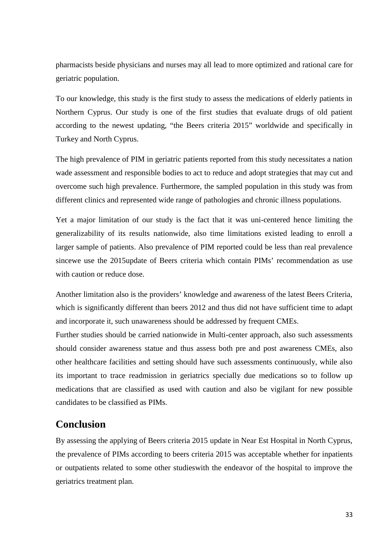pharmacists beside physicians and nurses may all lead to more optimized and rational care for geriatric population.

To our knowledge, this study is the first study to assess the medications of elderly patients in Northern Cyprus. Our study is one of the first studies that evaluate drugs of old patient according to the newest updating, "the Beers criteria 2015" worldwide and specifically in Turkey and North Cyprus.

The high prevalence of PIM in geriatric patients reported from this study necessitates a nation wade assessment and responsible bodies to act to reduce and adopt strategies that may cut and overcome such high prevalence. Furthermore, the sampled population in this study was from different clinics and represented wide range of pathologies and chronic illness populations.

Yet a major limitation of our study is the fact that it was uni-centered hence limiting the generalizability of its results nationwide, also time limitations existed leading to enroll a larger sample of patients. Also prevalence of PIM reported could be less than real prevalence sincewe use the 2015update of Beers criteria which contain PIMs' recommendation as use with caution or reduce dose.

Another limitation also is the providers' knowledge and awareness of the latest Beers Criteria, which is significantly different than beers 2012 and thus did not have sufficient time to adapt and incorporate it, such unawareness should be addressed by frequent CMEs.

Further studies should be carried nationwide in Multi-center approach, also such assessments should consider awareness statue and thus assess both pre and post awareness CMEs, also other healthcare facilities and setting should have such assessments continuously, while also its important to trace readmission in geriatrics specially due medications so to follow up medications that are classified as used with caution and also be vigilant for new possible candidates to be classified as PIMs.

## **Conclusion**

By assessing the applying of Beers criteria 2015 update in Near Est Hospital in North Cyprus, the prevalence of PIMs according to beers criteria 2015 was acceptable whether for inpatients or outpatients related to some other studieswith the endeavor of the hospital to improve the geriatrics treatment plan.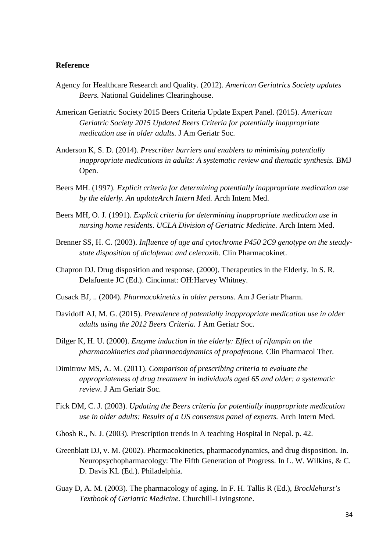#### **Reference**

- Agency for Healthcare Research and Quality. (2012). *American Geriatrics Society updates Beers.* National Guidelines Clearinghouse.
- American Geriatric Society 2015 Beers Criteria Update Expert Panel. (2015). *American Geriatric Society 2015 Updated Beers Criteria for potentially inappropriate medication use in older adults.* J Am Geriatr Soc.
- Anderson K, S. D. (2014). *Prescriber barriers and enablers to minimising potentially inappropriate medications in adults: A systematic review and thematic synthesis.* BMJ Open.
- Beers MH. (1997). *Explicit criteria for determining potentially inappropriate medication use by the elderly. An updateArch Intern Med.* Arch Intern Med.
- Beers MH, O. J. (1991). *Explicit criteria for determining inappropriate medication use in nursing home residents. UCLA Division of Geriatric Medicine.* Arch Intern Med.
- Brenner SS, H. C. (2003). *Influence of age and cytochrome P450 2C9 genotype on the steady state disposition of diclofenac and celecoxib.* Clin Pharmacokinet.
- Chapron DJ. Drug disposition and response. (2000). Therapeutics in the Elderly. In S. R. Delafuente JC (Ed.). Cincinnat: OH:Harvey Whitney.
- Cusack BJ, .. (2004). *Pharmacokinetics in older persons.* Am J Geriatr Pharm.
- Davidoff AJ, M. G. (2015). *Prevalence of potentially inappropriate medication use in older adults using the 2012 Beers Criteria.* J Am Geriatr Soc.
- Dilger K, H. U. (2000). *Enzyme induction in the elderly: Effect of rifampin on the pharmacokinetics and pharmacodynamics of propafenone.* Clin Pharmacol Ther.
- Dimitrow MS, A. M. (2011). *Comparison of prescribing criteria to evaluate the appropriateness of drug treatment in individuals aged 65 and older: a systematic review.* J Am Geriatr Soc.
- Fick DM, C. J. (2003). *Updating the Beers criteria for potentially inappropriate medication use in older adults: Results of a US consensus panel of experts.* Arch Intern Med.
- Ghosh R., N. J. (2003). Prescription trends in A teaching Hospital in Nepal. p. 42.
- Greenblatt DJ, v. M. (2002). Pharmacokinetics, pharmacodynamics, and drug disposition. In. Neuropsychopharmacology: The Fifth Generation of Progress. In L. W. Wilkins, & C. D. Davis KL (Ed.). Philadelphia.
- Guay D, A. M. (2003). The pharmacology of aging. In F. H. Tallis R (Ed.), *Brocklehurst's Textbook of Geriatric Medicine.* Churchill-Livingstone.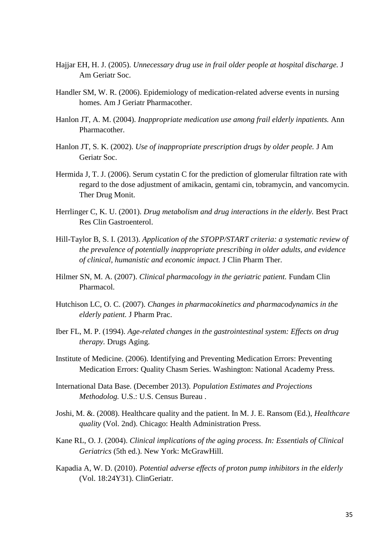- Hajjar EH, H. J. (2005). *Unnecessary drug use in frail older people at hospital discharge.* J Am Geriatr Soc.
- Handler SM, W. R. (2006). Epidemiology of medication-related adverse events in nursing homes. Am J Geriatr Pharmacother.
- Hanlon JT, A. M. (2004). *Inappropriate medication use among frail elderly inpatients.* Ann Pharmacother.
- Hanlon JT, S. K. (2002). *Use of inappropriate prescription drugs by older people.* J Am Geriatr Soc.
- Hermida J, T. J. (2006). Serum cystatin C for the prediction of glomerular filtration rate with regard to the dose adjustment of amikacin, gentami cin, tobramycin, and vancomycin. Ther Drug Monit.
- Herrlinger C, K. U. (2001). *Drug metabolism and drug interactions in the elderly.* Best Pract Res Clin Gastroenterol.
- Hill-Taylor B, S. I. (2013). *Application of the STOPP/START criteria: a systematic review of the prevalence of potentially inappropriate prescribing in older adults, and evidence of clinical, humanistic and economic impact.* J Clin Pharm Ther.
- Hilmer SN, M. A. (2007). *Clinical pharmacology in the geriatric patient.* Fundam Clin Pharmacol.
- Hutchison LC, O. C. (2007). *Changes in pharmacokinetics and pharmacodynamics in the elderly patient.* J Pharm Prac.
- Iber FL, M. P. (1994). *Age-related changes in the gastrointestinal system: Effects on drug therapy.* Drugs Aging.
- Institute of Medicine. (2006). Identifying and Preventing Medication Errors: Preventing Medication Errors: Quality Chasm Series. Washington: National Academy Press.
- International Data Base. (December 2013). *Population Estimates and Projections Methodolog.* U.S.: U.S. Census Bureau .
- Joshi, M. &. (2008). Healthcare quality and the patient. In M. J. E. Ransom (Ed.), *Healthcare quality* (Vol. 2nd). Chicago: Health Administration Press.
- Kane RL, O. J. (2004). *Clinical implications of the aging process. In: Essentials of Clinical Geriatrics* (5th ed.). New York: McGrawHill.
- Kapadia A, W. D. (2010). *Potential adverse effects of proton pump inhibitors in the elderly* (Vol. 18:24Y31). ClinGeriatr.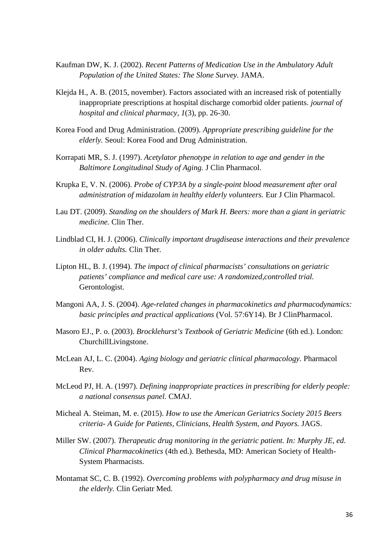- Kaufman DW, K. J. (2002). *Recent Patterns of Medication Use in the Ambulatory Adult Population of the United States: The Slone Survey.* JAMA.
- Klejda H., A. B. (2015, november). Factors associated with an increased risk of potentially inappropriate prescriptions at hospital discharge comorbid older patients. *journal of hospital and clinical pharmacy, 1*(3), pp. 26-30.
- Korea Food and Drug Administration. (2009). *Appropriate prescribing guideline for the elderly.* Seoul: Korea Food and Drug Administration.
- Korrapati MR, S. J. (1997). *Acetylator phenotype in relation to age and gender in the Baltimore Longitudinal Study of Aging.* J Clin Pharmacol.
- Krupka E, V. N. (2006). *Probe of CYP3A by a single-point blood measurement after oral administration of midazolam in healthy elderly volunteers.* Eur J Clin Pharmacol.
- Lau DT. (2009). *Standing on the shoulders of Mark H. Beers: more than a giant in geriatric medicine.* Clin Ther.
- Lindblad CI, H. J. (2006). *Clinically important drugdisease interactions and their prevalence in older adults.* Clin Ther.
- Lipton HL, B. J. (1994). *The impact of clinical pharmacists' consultations on geriatric patients' compliance and medical care use: A randomized,controlled trial.* Gerontologist.
- Mangoni AA, J. S. (2004). *Age-related changes in pharmacokinetics and pharmacodynamics: basic principles and practical applications* (Vol. 57:6Y14). Br J ClinPharmacol.
- Masoro EJ., P. o. (2003). *Brocklehurst's Textbook of Geriatric Medicine* (6th ed.). London: ChurchillLivingstone.
- McLean AJ, L. C. (2004). *Aging biology and geriatric clinical pharmacology.* Pharmacol Rev.
- McLeod PJ, H. A. (1997). *Defining inappropriate practices in prescribing for elderly people: a national consensus panel.* CMAJ.
- Micheal A. Steiman, M. e. (2015). *How to use the American Geriatrics Society 2015 Beers criteria- A Guide for Patients, Clinicians, Health System, and Payors.* JAGS.
- Miller SW. (2007). *Therapeutic drug monitoring in the geriatric patient. In: Murphy JE, ed. Clinical Pharmacokinetics* (4th ed.). Bethesda, MD: American Society of Health- System Pharmacists.
- Montamat SC, C. B. (1992). *Overcoming problems with polypharmacy and drug misuse in the elderly.* Clin Geriatr Med.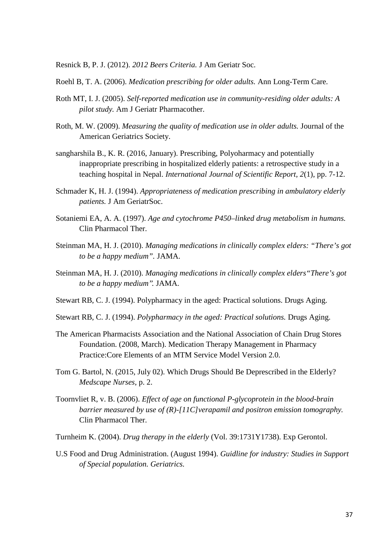Resnick B, P. J. (2012). *2012 Beers Criteria.* J Am Geriatr Soc.

- Roehl B, T. A. (2006). *Medication prescribing for older adults.* Ann Long-Term Care.
- Roth MT, I. J. (2005). *Self-reported medication use in community-residing older adults: A pilot study.* Am J Geriatr Pharmacother.
- Roth, M. W. (2009). *Measuring the quality of medication use in older adults.* Journal of the American Geriatrics Society.
- sangharshila B., K. R. (2016, January). Prescribing, Polyoharmacy and potentially inappropriate prescribing in hospitalized elderly patients: a retrospective study in a teaching hospital in Nepal. *International Journal of Scientific Report, 2*(1), pp. 7-12.
- Schmader K, H. J. (1994). *Appropriateness of medication prescribing in ambulatory elderly patients.* J Am GeriatrSoc.
- Sotaniemi EA, A. A. (1997). *Age and cytochrome P450–linked drug metabolism in humans.* Clin Pharmacol Ther.
- Steinman MA, H. J. (2010). *Managing medications in clinically complex elders: "There's got to be a happy medium".* JAMA.
- Steinman MA, H. J. (2010). *Managing medications in clinically complex elders"There's got to be a happy medium''.* JAMA.
- Stewart RB, C. J. (1994). Polypharmacy in the aged: Practical solutions. Drugs Aging.
- Stewart RB, C. J. (1994). *Polypharmacy in the aged: Practical solutions.* Drugs Aging.
- The American Pharmacists Association and the National Association of Chain Drug Stores Foundation. (2008, March). Medication Therapy Management in Pharmacy Practice:Core Elements of an MTM Service Model Version 2.0.
- Tom G. Bartol, N. (2015, July 02). Which Drugs Should Be Deprescribed in the Elderly? *Medscape Nurses*, p. 2.
- Toornvliet R, v. B. (2006). *Effect of age on functional P-glycoprotein in the blood-brain barrier measured by use of (R)-[11C]verapamil and positron emission tomography.* Clin Pharmacol Ther.
- Turnheim K. (2004). *Drug therapy in the elderly* (Vol. 39:1731Y1738). Exp Gerontol.
- U.S Food and Drug Administration. (August 1994). *Guidline for industry: Studies in Support of Special population. Geriatrics.*